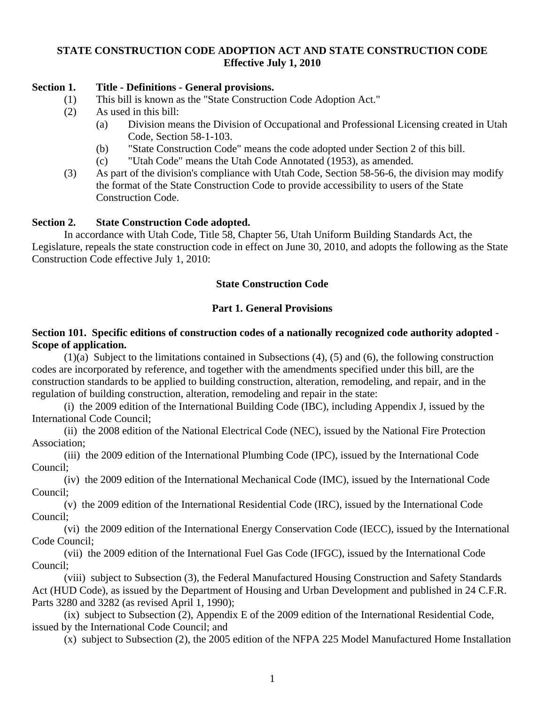# **STATE CONSTRUCTION CODE ADOPTION ACT AND STATE CONSTRUCTION CODE Effective July 1, 2010**

#### **Section 1. Title - Definitions - General provisions.**

- (1) This bill is known as the "State Construction Code Adoption Act."
- (2) As used in this bill:
	- (a) Division means the Division of Occupational and Professional Licensing created in Utah Code, Section 58-1-103.
	- (b) "State Construction Code" means the code adopted under Section 2 of this bill.
	- (c) "Utah Code" means the Utah Code Annotated (1953), as amended.
- (3) As part of the division's compliance with Utah Code, Section 58-56-6, the division may modify the format of the State Construction Code to provide accessibility to users of the State Construction Code.

#### **Section 2. State Construction Code adopted.**

 In accordance with Utah Code, Title 58, Chapter 56, Utah Uniform Building Standards Act, the Legislature, repeals the state construction code in effect on June 30, 2010, and adopts the following as the State Construction Code effective July 1, 2010:

#### **State Construction Code**

#### **Part 1. General Provisions**

## **Section 101. Specific editions of construction codes of a nationally recognized code authority adopted - Scope of application.**

 (1)(a) Subject to the limitations contained in Subsections (4), (5) and (6), the following construction codes are incorporated by reference, and together with the amendments specified under this bill, are the construction standards to be applied to building construction, alteration, remodeling, and repair, and in the regulation of building construction, alteration, remodeling and repair in the state:

 (i) the 2009 edition of the International Building Code (IBC), including Appendix J, issued by the International Code Council;

 (ii) the 2008 edition of the National Electrical Code (NEC), issued by the National Fire Protection Association;

 (iii) the 2009 edition of the International Plumbing Code (IPC), issued by the International Code Council;

 (iv) the 2009 edition of the International Mechanical Code (IMC), issued by the International Code Council;

 (v) the 2009 edition of the International Residential Code (IRC), issued by the International Code Council;

 (vi) the 2009 edition of the International Energy Conservation Code (IECC), issued by the International Code Council;

 (vii) the 2009 edition of the International Fuel Gas Code (IFGC), issued by the International Code Council;

 (viii) subject to Subsection (3), the Federal Manufactured Housing Construction and Safety Standards Act (HUD Code), as issued by the Department of Housing and Urban Development and published in 24 C.F.R. Parts 3280 and 3282 (as revised April 1, 1990);

 (ix) subject to Subsection (2), Appendix E of the 2009 edition of the International Residential Code, issued by the International Code Council; and

(x) subject to Subsection (2), the 2005 edition of the NFPA 225 Model Manufactured Home Installation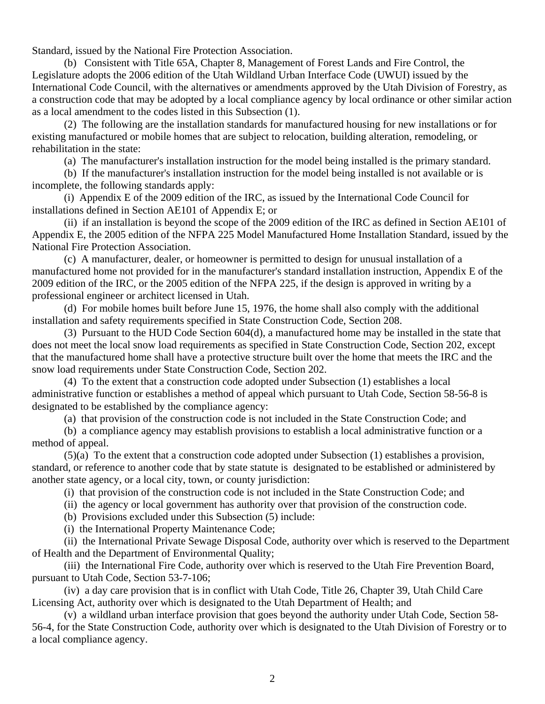Standard, issued by the National Fire Protection Association.

 (b) Consistent with Title 65A, Chapter 8, Management of Forest Lands and Fire Control, the Legislature adopts the 2006 edition of the Utah Wildland Urban Interface Code (UWUI) issued by the International Code Council, with the alternatives or amendments approved by the Utah Division of Forestry, as a construction code that may be adopted by a local compliance agency by local ordinance or other similar action as a local amendment to the codes listed in this Subsection (1).

 (2) The following are the installation standards for manufactured housing for new installations or for existing manufactured or mobile homes that are subject to relocation, building alteration, remodeling, or rehabilitation in the state:

(a) The manufacturer's installation instruction for the model being installed is the primary standard.

 (b) If the manufacturer's installation instruction for the model being installed is not available or is incomplete, the following standards apply:

 (i) Appendix E of the 2009 edition of the IRC, as issued by the International Code Council for installations defined in Section AE101 of Appendix E; or

 (ii) if an installation is beyond the scope of the 2009 edition of the IRC as defined in Section AE101 of Appendix E, the 2005 edition of the NFPA 225 Model Manufactured Home Installation Standard, issued by the National Fire Protection Association.

 (c) A manufacturer, dealer, or homeowner is permitted to design for unusual installation of a manufactured home not provided for in the manufacturer's standard installation instruction, Appendix E of the 2009 edition of the IRC, or the 2005 edition of the NFPA 225, if the design is approved in writing by a professional engineer or architect licensed in Utah.

 (d) For mobile homes built before June 15, 1976, the home shall also comply with the additional installation and safety requirements specified in State Construction Code, Section 208.

 (3) Pursuant to the HUD Code Section 604(d), a manufactured home may be installed in the state that does not meet the local snow load requirements as specified in State Construction Code, Section 202, except that the manufactured home shall have a protective structure built over the home that meets the IRC and the snow load requirements under State Construction Code, Section 202.

 (4) To the extent that a construction code adopted under Subsection (1) establishes a local administrative function or establishes a method of appeal which pursuant to Utah Code, Section 58-56-8 is designated to be established by the compliance agency:

(a) that provision of the construction code is not included in the State Construction Code; and

 (b) a compliance agency may establish provisions to establish a local administrative function or a method of appeal.

 (5)(a) To the extent that a construction code adopted under Subsection (1) establishes a provision, standard, or reference to another code that by state statute is designated to be established or administered by another state agency, or a local city, town, or county jurisdiction:

(i) that provision of the construction code is not included in the State Construction Code; and

(ii) the agency or local government has authority over that provision of the construction code.

(b) Provisions excluded under this Subsection (5) include:

(i) the International Property Maintenance Code;

 (ii) the International Private Sewage Disposal Code, authority over which is reserved to the Department of Health and the Department of Environmental Quality;

 (iii) the International Fire Code, authority over which is reserved to the Utah Fire Prevention Board, pursuant to Utah Code, Section 53-7-106;

 (iv) a day care provision that is in conflict with Utah Code, Title 26, Chapter 39, Utah Child Care Licensing Act, authority over which is designated to the Utah Department of Health; and

 (v) a wildland urban interface provision that goes beyond the authority under Utah Code, Section 58- 56-4, for the State Construction Code, authority over which is designated to the Utah Division of Forestry or to a local compliance agency.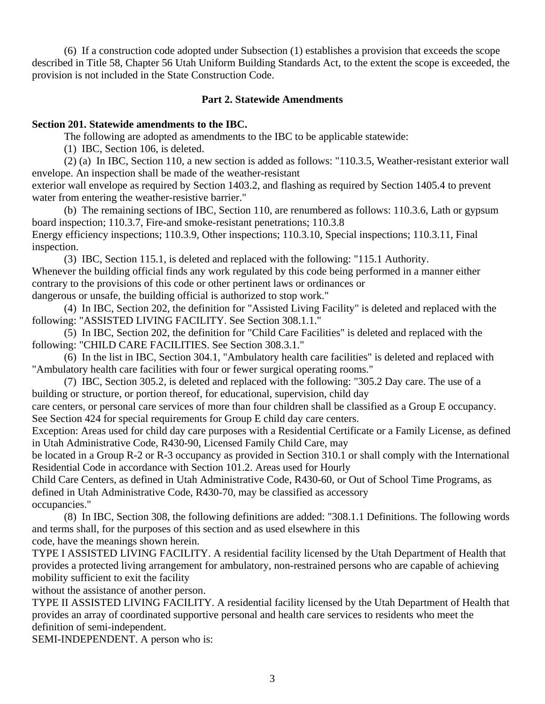(6) If a construction code adopted under Subsection (1) establishes a provision that exceeds the scope described in Title 58, Chapter 56 Utah Uniform Building Standards Act, to the extent the scope is exceeded, the provision is not included in the State Construction Code.

## **Part 2. Statewide Amendments**

### **Section 201. Statewide amendments to the IBC.**

The following are adopted as amendments to the IBC to be applicable statewide:

(1) IBC, Section 106, is deleted.

 (2) (a) In IBC, Section 110, a new section is added as follows: "110.3.5, Weather-resistant exterior wall envelope. An inspection shall be made of the weather-resistant

exterior wall envelope as required by Section 1403.2, and flashing as required by Section 1405.4 to prevent water from entering the weather-resistive barrier."

 (b) The remaining sections of IBC, Section 110, are renumbered as follows: 110.3.6, Lath or gypsum board inspection; 110.3.7, Fire-and smoke-resistant penetrations; 110.3.8 Energy efficiency inspections; 110.3.9, Other inspections; 110.3.10, Special inspections; 110.3.11, Final inspection.

 (3) IBC, Section 115.1, is deleted and replaced with the following: "115.1 Authority. Whenever the building official finds any work regulated by this code being performed in a manner either contrary to the provisions of this code or other pertinent laws or ordinances or

dangerous or unsafe, the building official is authorized to stop work."

 (4) In IBC, Section 202, the definition for "Assisted Living Facility" is deleted and replaced with the following: "ASSISTED LIVING FACILITY. See Section 308.1.1."

 (5) In IBC, Section 202, the definition for "Child Care Facilities" is deleted and replaced with the following: "CHILD CARE FACILITIES. See Section 308.3.1."

 (6) In the list in IBC, Section 304.1, "Ambulatory health care facilities" is deleted and replaced with "Ambulatory health care facilities with four or fewer surgical operating rooms."

 (7) IBC, Section 305.2, is deleted and replaced with the following: "305.2 Day care. The use of a building or structure, or portion thereof, for educational, supervision, child day

care centers, or personal care services of more than four children shall be classified as a Group E occupancy. See Section 424 for special requirements for Group E child day care centers.

Exception: Areas used for child day care purposes with a Residential Certificate or a Family License, as defined in Utah Administrative Code, R430-90, Licensed Family Child Care, may

be located in a Group R-2 or R-3 occupancy as provided in Section 310.1 or shall comply with the International Residential Code in accordance with Section 101.2. Areas used for Hourly

Child Care Centers, as defined in Utah Administrative Code, R430-60, or Out of School Time Programs, as defined in Utah Administrative Code, R430-70, may be classified as accessory occupancies."

 (8) In IBC, Section 308, the following definitions are added: "308.1.1 Definitions. The following words and terms shall, for the purposes of this section and as used elsewhere in this code, have the meanings shown herein.

TYPE I ASSISTED LIVING FACILITY. A residential facility licensed by the Utah Department of Health that provides a protected living arrangement for ambulatory, non-restrained persons who are capable of achieving mobility sufficient to exit the facility

without the assistance of another person.

TYPE II ASSISTED LIVING FACILITY. A residential facility licensed by the Utah Department of Health that provides an array of coordinated supportive personal and health care services to residents who meet the definition of semi-independent.

SEMI-INDEPENDENT. A person who is: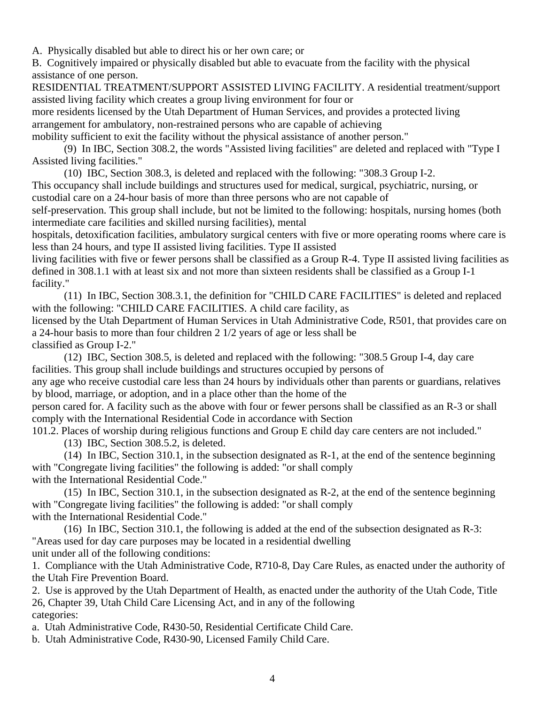A. Physically disabled but able to direct his or her own care; or

B. Cognitively impaired or physically disabled but able to evacuate from the facility with the physical assistance of one person.

RESIDENTIAL TREATMENT/SUPPORT ASSISTED LIVING FACILITY. A residential treatment/support assisted living facility which creates a group living environment for four or more residents licensed by the Utah Department of Human Services, and provides a protected living

arrangement for ambulatory, non-restrained persons who are capable of achieving

mobility sufficient to exit the facility without the physical assistance of another person."

 (9) In IBC, Section 308.2, the words "Assisted living facilities" are deleted and replaced with "Type I Assisted living facilities."

(10) IBC, Section 308.3, is deleted and replaced with the following: "308.3 Group I-2.

This occupancy shall include buildings and structures used for medical, surgical, psychiatric, nursing, or custodial care on a 24-hour basis of more than three persons who are not capable of

self-preservation. This group shall include, but not be limited to the following: hospitals, nursing homes (both intermediate care facilities and skilled nursing facilities), mental

hospitals, detoxification facilities, ambulatory surgical centers with five or more operating rooms where care is less than 24 hours, and type II assisted living facilities. Type II assisted

living facilities with five or fewer persons shall be classified as a Group R-4. Type II assisted living facilities as defined in 308.1.1 with at least six and not more than sixteen residents shall be classified as a Group I-1 facility."

 (11) In IBC, Section 308.3.1, the definition for "CHILD CARE FACILITIES" is deleted and replaced with the following: "CHILD CARE FACILITIES. A child care facility, as

licensed by the Utah Department of Human Services in Utah Administrative Code, R501, that provides care on a 24-hour basis to more than four children 2 1/2 years of age or less shall be classified as Group I-2."

 (12) IBC, Section 308.5, is deleted and replaced with the following: "308.5 Group I-4, day care facilities. This group shall include buildings and structures occupied by persons of

any age who receive custodial care less than 24 hours by individuals other than parents or guardians, relatives by blood, marriage, or adoption, and in a place other than the home of the

person cared for. A facility such as the above with four or fewer persons shall be classified as an R-3 or shall comply with the International Residential Code in accordance with Section

101.2. Places of worship during religious functions and Group E child day care centers are not included."

(13) IBC, Section 308.5.2, is deleted.

 (14) In IBC, Section 310.1, in the subsection designated as R-1, at the end of the sentence beginning with "Congregate living facilities" the following is added: "or shall comply with the International Residential Code."

 (15) In IBC, Section 310.1, in the subsection designated as R-2, at the end of the sentence beginning with "Congregate living facilities" the following is added: "or shall comply

with the International Residential Code."

 (16) In IBC, Section 310.1, the following is added at the end of the subsection designated as R-3: "Areas used for day care purposes may be located in a residential dwelling unit under all of the following conditions:

1. Compliance with the Utah Administrative Code, R710-8, Day Care Rules, as enacted under the authority of the Utah Fire Prevention Board.

2. Use is approved by the Utah Department of Health, as enacted under the authority of the Utah Code, Title 26, Chapter 39, Utah Child Care Licensing Act, and in any of the following categories:

a. Utah Administrative Code, R430-50, Residential Certificate Child Care.

b. Utah Administrative Code, R430-90, Licensed Family Child Care.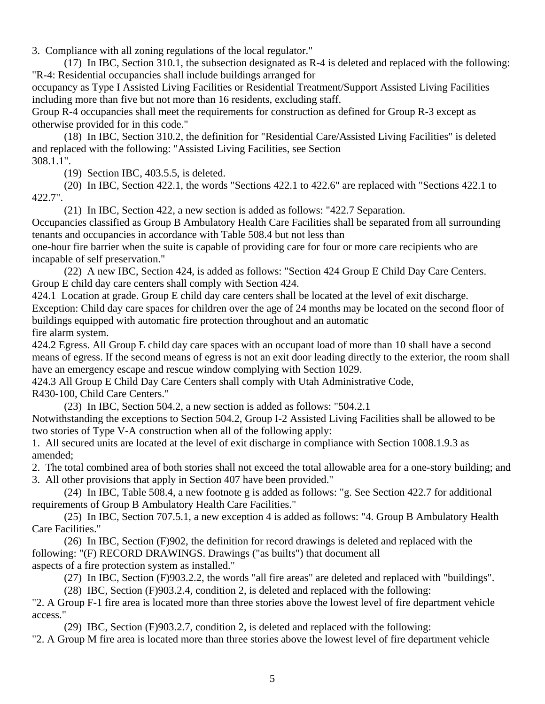3. Compliance with all zoning regulations of the local regulator."

 (17) In IBC, Section 310.1, the subsection designated as R-4 is deleted and replaced with the following: "R-4: Residential occupancies shall include buildings arranged for

occupancy as Type I Assisted Living Facilities or Residential Treatment/Support Assisted Living Facilities including more than five but not more than 16 residents, excluding staff.

Group R-4 occupancies shall meet the requirements for construction as defined for Group R-3 except as otherwise provided for in this code."

 (18) In IBC, Section 310.2, the definition for "Residential Care/Assisted Living Facilities" is deleted and replaced with the following: "Assisted Living Facilities, see Section 308.1.1".

(19) Section IBC, 403.5.5, is deleted.

 (20) In IBC, Section 422.1, the words "Sections 422.1 to 422.6" are replaced with "Sections 422.1 to 422.7".

(21) In IBC, Section 422, a new section is added as follows: "422.7 Separation.

Occupancies classified as Group B Ambulatory Health Care Facilities shall be separated from all surrounding tenants and occupancies in accordance with Table 508.4 but not less than

one-hour fire barrier when the suite is capable of providing care for four or more care recipients who are incapable of self preservation."

 (22) A new IBC, Section 424, is added as follows: "Section 424 Group E Child Day Care Centers. Group E child day care centers shall comply with Section 424.

424.1 Location at grade. Group E child day care centers shall be located at the level of exit discharge. Exception: Child day care spaces for children over the age of 24 months may be located on the second floor of buildings equipped with automatic fire protection throughout and an automatic fire alarm system.

424.2 Egress. All Group E child day care spaces with an occupant load of more than 10 shall have a second means of egress. If the second means of egress is not an exit door leading directly to the exterior, the room shall have an emergency escape and rescue window complying with Section 1029.

424.3 All Group E Child Day Care Centers shall comply with Utah Administrative Code, R430-100, Child Care Centers."

(23) In IBC, Section 504.2, a new section is added as follows: "504.2.1

Notwithstanding the exceptions to Section 504.2, Group I-2 Assisted Living Facilities shall be allowed to be two stories of Type V-A construction when all of the following apply:

1. All secured units are located at the level of exit discharge in compliance with Section 1008.1.9.3 as amended;

2. The total combined area of both stories shall not exceed the total allowable area for a one-story building; and 3. All other provisions that apply in Section 407 have been provided."

 (24) In IBC, Table 508.4, a new footnote g is added as follows: "g. See Section 422.7 for additional requirements of Group B Ambulatory Health Care Facilities."

 (25) In IBC, Section 707.5.1, a new exception 4 is added as follows: "4. Group B Ambulatory Health Care Facilities."

 (26) In IBC, Section (F)902, the definition for record drawings is deleted and replaced with the following: "(F) RECORD DRAWINGS. Drawings ("as builts") that document all aspects of a fire protection system as installed."

(27) In IBC, Section (F)903.2.2, the words "all fire areas" are deleted and replaced with "buildings".

(28) IBC, Section (F)903.2.4, condition 2, is deleted and replaced with the following:

"2. A Group F-1 fire area is located more than three stories above the lowest level of fire department vehicle access."

(29) IBC, Section (F)903.2.7, condition 2, is deleted and replaced with the following:

"2. A Group M fire area is located more than three stories above the lowest level of fire department vehicle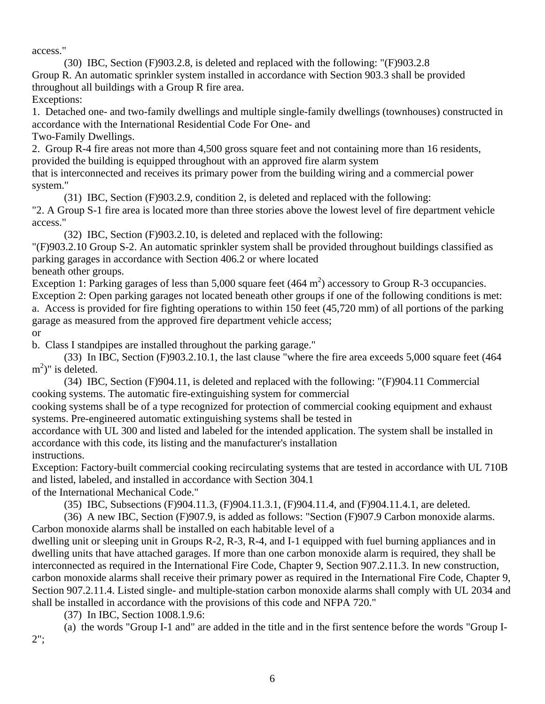access."

 (30) IBC, Section (F)903.2.8, is deleted and replaced with the following: "(F)903.2.8 Group R. An automatic sprinkler system installed in accordance with Section 903.3 shall be provided throughout all buildings with a Group R fire area.

Exceptions:

1. Detached one- and two-family dwellings and multiple single-family dwellings (townhouses) constructed in accordance with the International Residential Code For One- and

Two-Family Dwellings.

2. Group R-4 fire areas not more than 4,500 gross square feet and not containing more than 16 residents, provided the building is equipped throughout with an approved fire alarm system

that is interconnected and receives its primary power from the building wiring and a commercial power system."

 (31) IBC, Section (F)903.2.9, condition 2, is deleted and replaced with the following: "2. A Group S-1 fire area is located more than three stories above the lowest level of fire department vehicle access."

(32) IBC, Section (F)903.2.10, is deleted and replaced with the following:

"(F)903.2.10 Group S-2. An automatic sprinkler system shall be provided throughout buildings classified as parking garages in accordance with Section 406.2 or where located

beneath other groups.

Exception 1: Parking garages of less than 5,000 square feet  $(464 \text{ m}^2)$  accessory to Group R-3 occupancies. Exception 2: Open parking garages not located beneath other groups if one of the following conditions is met: a. Access is provided for fire fighting operations to within 150 feet (45,720 mm) of all portions of the parking garage as measured from the approved fire department vehicle access;

or

b. Class I standpipes are installed throughout the parking garage."

 (33) In IBC, Section (F)903.2.10.1, the last clause "where the fire area exceeds 5,000 square feet (464  $m<sup>2</sup>$ )" is deleted.

 (34) IBC, Section (F)904.11, is deleted and replaced with the following: "(F)904.11 Commercial cooking systems. The automatic fire-extinguishing system for commercial

cooking systems shall be of a type recognized for protection of commercial cooking equipment and exhaust systems. Pre-engineered automatic extinguishing systems shall be tested in

accordance with UL 300 and listed and labeled for the intended application. The system shall be installed in accordance with this code, its listing and the manufacturer's installation

instructions.

Exception: Factory-built commercial cooking recirculating systems that are tested in accordance with UL 710B and listed, labeled, and installed in accordance with Section 304.1

of the International Mechanical Code."

(35) IBC, Subsections (F)904.11.3, (F)904.11.3.1, (F)904.11.4, and (F)904.11.4.1, are deleted.

 (36) A new IBC, Section (F)907.9, is added as follows: "Section (F)907.9 Carbon monoxide alarms. Carbon monoxide alarms shall be installed on each habitable level of a

dwelling unit or sleeping unit in Groups R-2, R-3, R-4, and I-1 equipped with fuel burning appliances and in dwelling units that have attached garages. If more than one carbon monoxide alarm is required, they shall be interconnected as required in the International Fire Code, Chapter 9, Section 907.2.11.3. In new construction, carbon monoxide alarms shall receive their primary power as required in the International Fire Code, Chapter 9, Section 907.2.11.4. Listed single- and multiple-station carbon monoxide alarms shall comply with UL 2034 and shall be installed in accordance with the provisions of this code and NFPA 720."

(37) In IBC, Section 1008.1.9.6:

(a) the words "Group I-1 and" are added in the title and in the first sentence before the words "Group I-

2";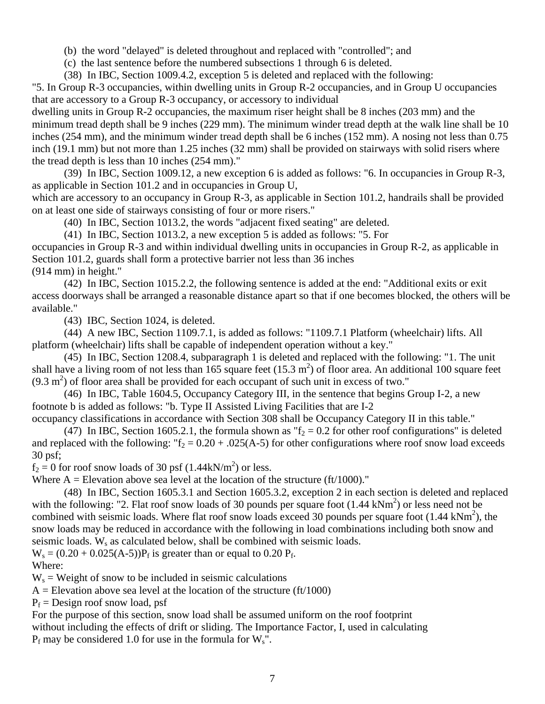(b) the word "delayed" is deleted throughout and replaced with "controlled"; and

(c) the last sentence before the numbered subsections 1 through 6 is deleted.

(38) In IBC, Section 1009.4.2, exception 5 is deleted and replaced with the following:

"5. In Group R-3 occupancies, within dwelling units in Group R-2 occupancies, and in Group U occupancies that are accessory to a Group R-3 occupancy, or accessory to individual

dwelling units in Group R-2 occupancies, the maximum riser height shall be 8 inches (203 mm) and the minimum tread depth shall be 9 inches (229 mm). The minimum winder tread depth at the walk line shall be 10 inches (254 mm), and the minimum winder tread depth shall be 6 inches (152 mm). A nosing not less than 0.75 inch (19.1 mm) but not more than 1.25 inches (32 mm) shall be provided on stairways with solid risers where the tread depth is less than 10 inches (254 mm)."

 (39) In IBC, Section 1009.12, a new exception 6 is added as follows: "6. In occupancies in Group R-3, as applicable in Section 101.2 and in occupancies in Group U,

which are accessory to an occupancy in Group R-3, as applicable in Section 101.2, handrails shall be provided on at least one side of stairways consisting of four or more risers."

(40) In IBC, Section 1013.2, the words "adjacent fixed seating" are deleted.

(41) In IBC, Section 1013.2, a new exception 5 is added as follows: "5. For

occupancies in Group R-3 and within individual dwelling units in occupancies in Group R-2, as applicable in Section 101.2, guards shall form a protective barrier not less than 36 inches (914 mm) in height."

 (42) In IBC, Section 1015.2.2, the following sentence is added at the end: "Additional exits or exit access doorways shall be arranged a reasonable distance apart so that if one becomes blocked, the others will be available."

(43) IBC, Section 1024, is deleted.

 (44) A new IBC, Section 1109.7.1, is added as follows: "1109.7.1 Platform (wheelchair) lifts. All platform (wheelchair) lifts shall be capable of independent operation without a key."

 (45) In IBC, Section 1208.4, subparagraph 1 is deleted and replaced with the following: "1. The unit shall have a living room of not less than  $165$  square feet  $(15.3 \text{ m}^2)$  of floor area. An additional 100 square feet  $(9.3 \text{ m}^2)$  of floor area shall be provided for each occupant of such unit in excess of two."

 (46) In IBC, Table 1604.5, Occupancy Category III, in the sentence that begins Group I-2, a new footnote b is added as follows: "b. Type II Assisted Living Facilities that are I-2

occupancy classifications in accordance with Section 308 shall be Occupancy Category II in this table." (47) In IBC, Section 1605.2.1, the formula shown as "f<sub>2</sub> = 0.2 for other roof configurations" is deleted

and replaced with the following: " $f_2 = 0.20 + 0.025(A-5)$  for other configurations where roof snow load exceeds 30 psf;

 $f_2 = 0$  for roof snow loads of 30 psf (1.44kN/m<sup>2</sup>) or less.

Where  $A =$  Elevation above sea level at the location of the structure (ft/1000)."

 (48) In IBC, Section 1605.3.1 and Section 1605.3.2, exception 2 in each section is deleted and replaced with the following: "2. Flat roof snow loads of 30 pounds per square foot  $(1.44 \text{ kNm}^2)$  or less need not be combined with seismic loads. Where flat roof snow loads exceed 30 pounds per square foot  $(1.44 \text{ kNm}^2)$ , the snow loads may be reduced in accordance with the following in load combinations including both snow and seismic loads.  $W_s$  as calculated below, shall be combined with seismic loads.  $W_s = (0.20 + 0.025(A-5))P_f$  is greater than or equal to 0.20  $P_f$ .

Where:

 $W_s$  = Weight of snow to be included in seismic calculations

 $A =$  Elevation above sea level at the location of the structure (ft/1000)

 $P_f$  = Design roof snow load, psf

For the purpose of this section, snow load shall be assumed uniform on the roof footprint without including the effects of drift or sliding. The Importance Factor, I, used in calculating  $P_f$  may be considered 1.0 for use in the formula for  $W_s$ ".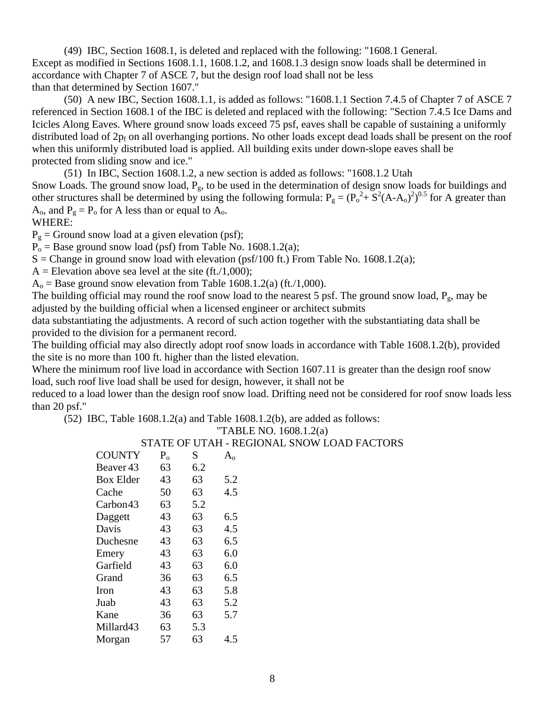(49) IBC, Section 1608.1, is deleted and replaced with the following: "1608.1 General. Except as modified in Sections 1608.1.1, 1608.1.2, and 1608.1.3 design snow loads shall be determined in accordance with Chapter 7 of ASCE 7, but the design roof load shall not be less than that determined by Section 1607."

 (50) A new IBC, Section 1608.1.1, is added as follows: "1608.1.1 Section 7.4.5 of Chapter 7 of ASCE 7 referenced in Section 1608.1 of the IBC is deleted and replaced with the following: "Section 7.4.5 Ice Dams and Icicles Along Eaves. Where ground snow loads exceed 75 psf, eaves shall be capable of sustaining a uniformly distributed load of  $2p_f$  on all overhanging portions. No other loads except dead loads shall be present on the roof when this uniformly distributed load is applied. All building exits under down-slope eaves shall be protected from sliding snow and ice."

 (51) In IBC, Section 1608.1.2, a new section is added as follows: "1608.1.2 Utah Snow Loads. The ground snow load,  $P_g$ , to be used in the determination of design snow loads for buildings and other structures shall be determined by using the following formula:  $P_g = (P_o^2 + S^2(A-A_o)^2)^{0.5}$  for A greater than  $A_0$ , and  $P_g = P_o$  for A less than or equal to  $A_o$ . WHERE:

 $P_g$  = Ground snow load at a given elevation (psf);

 $P_0$  = Base ground snow load (psf) from Table No. 1608.1.2(a);

 $S =$ Change in ground snow load with elevation (psf/100 ft.) From Table No. 1608.1.2(a);

 $A =$  Elevation above sea level at the site (ft./1,000);

 $A_0$  = Base ground snow elevation from Table 1608.1.2(a) (ft./1,000).

The building official may round the roof snow load to the nearest 5 psf. The ground snow load,  $P_g$ , may be adjusted by the building official when a licensed engineer or architect submits

data substantiating the adjustments. A record of such action together with the substantiating data shall be provided to the division for a permanent record.

The building official may also directly adopt roof snow loads in accordance with Table 1608.1.2(b), provided the site is no more than 100 ft. higher than the listed elevation.

Where the minimum roof live load in accordance with Section 1607.11 is greater than the design roof snow load, such roof live load shall be used for design, however, it shall not be

reduced to a load lower than the design roof snow load. Drifting need not be considered for roof snow loads less than 20 psf."

(52) IBC, Table 1608.1.2(a) and Table 1608.1.2(b), are added as follows:

"TABLE NO. 1608.1.2(a)

#### STATE OF UTAH - REGIONAL SNOW LOAD FACTORS

| $P_{0}$ | S                                                                                  | ${\rm A}_{\rm o}$ |
|---------|------------------------------------------------------------------------------------|-------------------|
| 63      | 6.2                                                                                |                   |
| 43      | 63                                                                                 | 5.2               |
| 50      | 63                                                                                 | 4.5               |
| 63      | 5.2                                                                                |                   |
| 43      | 63                                                                                 | 6.5               |
| 43      | 63                                                                                 | 4.5               |
| 43      | 63                                                                                 | 6.5               |
| 43      | 63                                                                                 | 6.0               |
| 43      | 63                                                                                 | 6.0               |
| 36      | 63                                                                                 | 6.5               |
| 43      | 63                                                                                 | 5.8               |
| 43      | 63                                                                                 | 5.2               |
| 36      | 63                                                                                 | 5.7               |
| 63      | 5.3                                                                                |                   |
| 57      | 63                                                                                 | 4.5               |
|         | <b>COUNTY</b><br>Beaver <sub>43</sub><br><b>Box Elder</b><br>Carbon43<br>Millard43 |                   |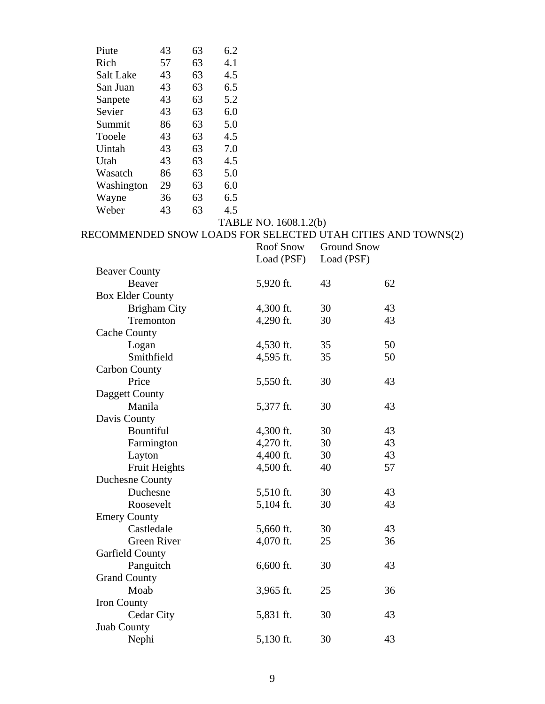| Piute            | 43 | 63 | 6.2 |
|------------------|----|----|-----|
| Rich             | 57 | 63 | 4.1 |
| <b>Salt Lake</b> | 43 | 63 | 4.5 |
| San Juan         | 43 | 63 | 6.5 |
| Sanpete          | 43 | 63 | 5.2 |
| Sevier           | 43 | 63 | 6.0 |
| Summit           | 86 | 63 | 5.0 |
| Tooele           | 43 | 63 | 4.5 |
| Uintah           | 43 | 63 | 7.0 |
| Utah             | 43 | 63 | 4.5 |
| Wasatch          | 86 | 63 | 5.0 |
| Washington       | 29 | 63 | 6.0 |
| Wayne            | 36 | 63 | 6.5 |
| Weber            | 43 | 63 | 4.5 |

# TABLE NO. 1608.1.2(b)

# RECOMMENDED SNOW LOADS FOR SELECTED UTAH CITIES AND TOWNS(2)

|                         | <b>Roof Snow</b> | <b>Ground Snow</b> |    |
|-------------------------|------------------|--------------------|----|
|                         | Load (PSF)       | Load (PSF)         |    |
| <b>Beaver County</b>    |                  |                    |    |
| Beaver                  | 5,920 ft.        | 43                 | 62 |
| <b>Box Elder County</b> |                  |                    |    |
| <b>Brigham City</b>     | 4,300 ft.        | 30                 | 43 |
| Tremonton               | 4,290 ft.        | 30                 | 43 |
| <b>Cache County</b>     |                  |                    |    |
| Logan                   | 4,530 ft.        | 35                 | 50 |
| Smithfield              | 4,595 ft.        | 35                 | 50 |
| <b>Carbon County</b>    |                  |                    |    |
| Price                   | 5,550 ft.        | 30                 | 43 |
| Daggett County          |                  |                    |    |
| Manila                  | 5,377 ft.        | 30                 | 43 |
| Davis County            |                  |                    |    |
| Bountiful               | 4,300 ft.        | 30                 | 43 |
| Farmington              | 4,270 ft.        | 30                 | 43 |
| Layton                  | 4,400 ft.        | 30                 | 43 |
| Fruit Heights           | 4,500 ft.        | 40                 | 57 |
| <b>Duchesne County</b>  |                  |                    |    |
| Duchesne                | 5,510 ft.        | 30                 | 43 |
| Roosevelt               | 5,104 ft.        | 30                 | 43 |
| <b>Emery County</b>     |                  |                    |    |
| Castledale              | 5,660 ft.        | 30                 | 43 |
| Green River             | 4,070 ft.        | 25                 | 36 |
| <b>Garfield County</b>  |                  |                    |    |
| Panguitch               | 6,600 ft.        | 30                 | 43 |
| <b>Grand County</b>     |                  |                    |    |
| Moab                    | 3,965 ft.        | 25                 | 36 |
| Iron County             |                  |                    |    |
| <b>Cedar City</b>       | 5,831 ft.        | 30                 | 43 |
| <b>Juab County</b>      |                  |                    |    |
|                         | 5,130 ft.        | 30                 | 43 |
| Nephi                   |                  |                    |    |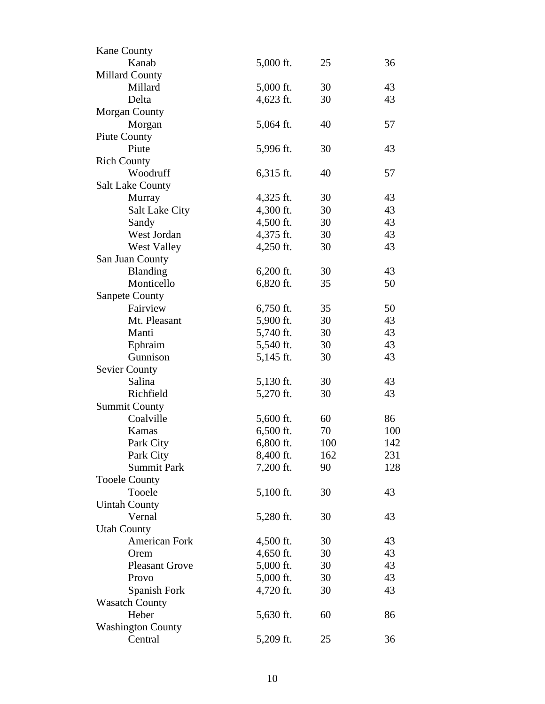| 5,000 ft.   | 25                                                                                                                                                                                                                                                                                                                     | 36                                                                                                                                             |
|-------------|------------------------------------------------------------------------------------------------------------------------------------------------------------------------------------------------------------------------------------------------------------------------------------------------------------------------|------------------------------------------------------------------------------------------------------------------------------------------------|
|             |                                                                                                                                                                                                                                                                                                                        |                                                                                                                                                |
| 5,000 ft.   | 30                                                                                                                                                                                                                                                                                                                     | 43                                                                                                                                             |
| $4,623$ ft. | 30                                                                                                                                                                                                                                                                                                                     | 43                                                                                                                                             |
|             |                                                                                                                                                                                                                                                                                                                        |                                                                                                                                                |
|             |                                                                                                                                                                                                                                                                                                                        | 57                                                                                                                                             |
|             |                                                                                                                                                                                                                                                                                                                        |                                                                                                                                                |
|             |                                                                                                                                                                                                                                                                                                                        | 43                                                                                                                                             |
|             |                                                                                                                                                                                                                                                                                                                        |                                                                                                                                                |
|             |                                                                                                                                                                                                                                                                                                                        | 57                                                                                                                                             |
|             |                                                                                                                                                                                                                                                                                                                        |                                                                                                                                                |
|             |                                                                                                                                                                                                                                                                                                                        | 43                                                                                                                                             |
|             |                                                                                                                                                                                                                                                                                                                        | 43                                                                                                                                             |
|             |                                                                                                                                                                                                                                                                                                                        | 43                                                                                                                                             |
|             |                                                                                                                                                                                                                                                                                                                        | 43                                                                                                                                             |
|             |                                                                                                                                                                                                                                                                                                                        | 43                                                                                                                                             |
|             |                                                                                                                                                                                                                                                                                                                        |                                                                                                                                                |
|             |                                                                                                                                                                                                                                                                                                                        | 43                                                                                                                                             |
|             |                                                                                                                                                                                                                                                                                                                        | 50                                                                                                                                             |
|             |                                                                                                                                                                                                                                                                                                                        |                                                                                                                                                |
|             |                                                                                                                                                                                                                                                                                                                        | 50                                                                                                                                             |
|             |                                                                                                                                                                                                                                                                                                                        |                                                                                                                                                |
|             |                                                                                                                                                                                                                                                                                                                        | 43                                                                                                                                             |
|             |                                                                                                                                                                                                                                                                                                                        | 43                                                                                                                                             |
|             |                                                                                                                                                                                                                                                                                                                        | 43                                                                                                                                             |
|             |                                                                                                                                                                                                                                                                                                                        | 43                                                                                                                                             |
|             |                                                                                                                                                                                                                                                                                                                        |                                                                                                                                                |
|             |                                                                                                                                                                                                                                                                                                                        | 43                                                                                                                                             |
|             |                                                                                                                                                                                                                                                                                                                        | 43                                                                                                                                             |
|             |                                                                                                                                                                                                                                                                                                                        |                                                                                                                                                |
|             |                                                                                                                                                                                                                                                                                                                        | 86                                                                                                                                             |
|             |                                                                                                                                                                                                                                                                                                                        | 100                                                                                                                                            |
|             |                                                                                                                                                                                                                                                                                                                        | 142                                                                                                                                            |
|             |                                                                                                                                                                                                                                                                                                                        | 231                                                                                                                                            |
|             |                                                                                                                                                                                                                                                                                                                        | 128                                                                                                                                            |
|             |                                                                                                                                                                                                                                                                                                                        |                                                                                                                                                |
|             |                                                                                                                                                                                                                                                                                                                        | 43                                                                                                                                             |
|             |                                                                                                                                                                                                                                                                                                                        |                                                                                                                                                |
|             |                                                                                                                                                                                                                                                                                                                        | 43                                                                                                                                             |
|             |                                                                                                                                                                                                                                                                                                                        |                                                                                                                                                |
| 4,500 ft.   | 30                                                                                                                                                                                                                                                                                                                     | 43                                                                                                                                             |
| $4,650$ ft. | 30                                                                                                                                                                                                                                                                                                                     | 43                                                                                                                                             |
| 5,000 ft.   | 30                                                                                                                                                                                                                                                                                                                     | 43                                                                                                                                             |
| 5,000 ft.   | 30                                                                                                                                                                                                                                                                                                                     | 43                                                                                                                                             |
| 4,720 ft.   | 30                                                                                                                                                                                                                                                                                                                     | 43                                                                                                                                             |
|             |                                                                                                                                                                                                                                                                                                                        |                                                                                                                                                |
| 5,630 ft.   | 60                                                                                                                                                                                                                                                                                                                     | 86                                                                                                                                             |
|             |                                                                                                                                                                                                                                                                                                                        |                                                                                                                                                |
| 5,209 ft.   | 25                                                                                                                                                                                                                                                                                                                     | 36                                                                                                                                             |
|             | 5,064 ft.<br>5,996 ft.<br>6,315 ft.<br>4,325 ft.<br>4,300 ft.<br>4,500 ft.<br>4,375 ft.<br>4,250 ft.<br>$6,200$ ft.<br>6,820 ft.<br>6,750 ft.<br>5,900 ft.<br>5,740 ft.<br>5,540 ft.<br>5,145 ft.<br>5,130 ft.<br>5,270 ft.<br>5,600 ft.<br>6,500 ft.<br>6,800 ft.<br>8,400 ft.<br>7,200 ft.<br>5,100 ft.<br>5,280 ft. | 40<br>30<br>40<br>30<br>30<br>30<br>30<br>30<br>30<br>35<br>35<br>30<br>30<br>30<br>30<br>30<br>30<br>60<br>70<br>100<br>162<br>90<br>30<br>30 |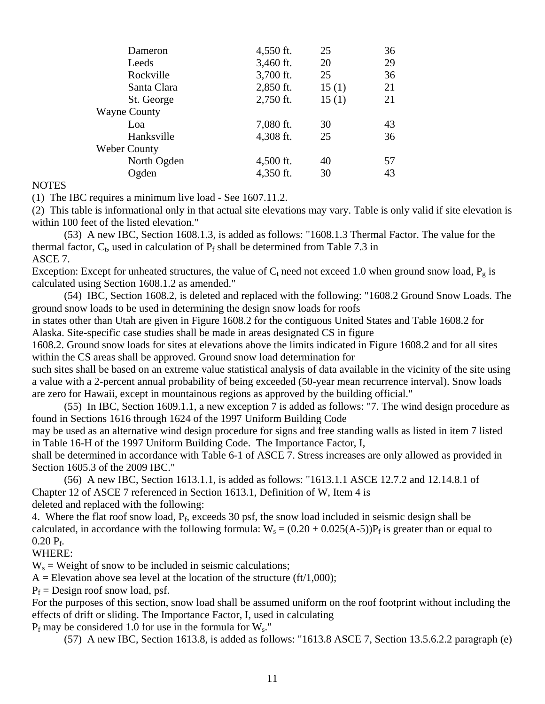| 4,550 ft. | 25    | 36 |
|-----------|-------|----|
| 3,460 ft. | 20    | 29 |
| 3,700 ft. | 25    | 36 |
| 2,850 ft. | 15(1) | 21 |
| 2,750 ft. | 15(1) | 21 |
|           |       |    |
| 7,080 ft. | 30    | 43 |
| 4,308 ft. | 25    | 36 |
|           |       |    |
| 4,500 ft. | 40    | 57 |
| 4,350 ft. | 30    | 43 |
|           |       |    |

#### **NOTES**

(1) The IBC requires a minimum live load - See 1607.11.2.

(2) This table is informational only in that actual site elevations may vary. Table is only valid if site elevation is within 100 feet of the listed elevation."

 (53) A new IBC, Section 1608.1.3, is added as follows: "1608.1.3 Thermal Factor. The value for the thermal factor,  $C_t$ , used in calculation of  $P_f$  shall be determined from Table 7.3 in ASCE 7.

Exception: Except for unheated structures, the value of  $C_t$  need not exceed 1.0 when ground snow load,  $P_g$  is calculated using Section 1608.1.2 as amended."

 (54) IBC, Section 1608.2, is deleted and replaced with the following: "1608.2 Ground Snow Loads. The ground snow loads to be used in determining the design snow loads for roofs

in states other than Utah are given in Figure 1608.2 for the contiguous United States and Table 1608.2 for Alaska. Site-specific case studies shall be made in areas designated CS in figure

1608.2. Ground snow loads for sites at elevations above the limits indicated in Figure 1608.2 and for all sites within the CS areas shall be approved. Ground snow load determination for

such sites shall be based on an extreme value statistical analysis of data available in the vicinity of the site using a value with a 2-percent annual probability of being exceeded (50-year mean recurrence interval). Snow loads are zero for Hawaii, except in mountainous regions as approved by the building official."

 (55) In IBC, Section 1609.1.1, a new exception 7 is added as follows: "7. The wind design procedure as found in Sections 1616 through 1624 of the 1997 Uniform Building Code

may be used as an alternative wind design procedure for signs and free standing walls as listed in item 7 listed in Table 16-H of the 1997 Uniform Building Code. The Importance Factor, I,

shall be determined in accordance with Table 6-1 of ASCE 7. Stress increases are only allowed as provided in Section 1605.3 of the 2009 IBC."

 (56) A new IBC, Section 1613.1.1, is added as follows: "1613.1.1 ASCE 12.7.2 and 12.14.8.1 of Chapter 12 of ASCE 7 referenced in Section 1613.1, Definition of W, Item 4 is deleted and replaced with the following:

4. Where the flat roof snow load,  $P_f$ , exceeds 30 psf, the snow load included in seismic design shall be calculated, in accordance with the following formula:  $W_s = (0.20 + 0.025(A-5))P_f$  is greater than or equal to  $0.20 P_f.$ 

WHERE:

 $W_s$  = Weight of snow to be included in seismic calculations;

 $A =$  Elevation above sea level at the location of the structure (ft/1,000);

 $P_f$  = Design roof snow load, psf.

For the purposes of this section, snow load shall be assumed uniform on the roof footprint without including the effects of drift or sliding. The Importance Factor, I, used in calculating

 $P_f$  may be considered 1.0 for use in the formula for  $W_s$ ."

(57) A new IBC, Section 1613.8, is added as follows: "1613.8 ASCE 7, Section 13.5.6.2.2 paragraph (e)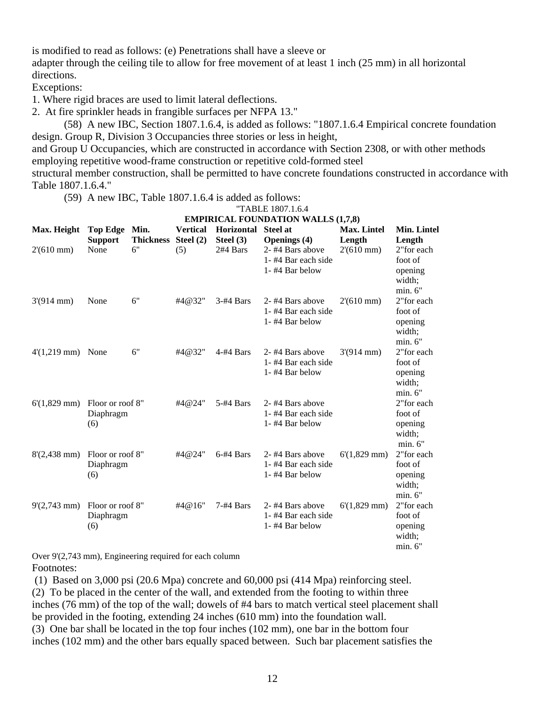is modified to read as follows: (e) Penetrations shall have a sleeve or adapter through the ceiling tile to allow for free movement of at least 1 inch (25 mm) in all horizontal directions.

Exceptions:

1. Where rigid braces are used to limit lateral deflections.

2. At fire sprinkler heads in frangible surfaces per NFPA 13."

 (58) A new IBC, Section 1807.1.6.4, is added as follows: "1807.1.6.4 Empirical concrete foundation design. Group R, Division 3 Occupancies three stories or less in height,

and Group U Occupancies, which are constructed in accordance with Section 2308, or with other methods employing repetitive wood-frame construction or repetitive cold-formed steel

structural member construction, shall be permitted to have concrete foundations constructed in accordance with Table 1807.1.6.4."

(59) A new IBC, Table 1807.1.6.4 is added as follows:

"TABLE 1807.1.6.4

| <b>EMPIRICAL FOUNDATION WALLS (1,7,8)</b> |                                      |                        |                    |                           |                                                                                |                                |                                                                 |
|-------------------------------------------|--------------------------------------|------------------------|--------------------|---------------------------|--------------------------------------------------------------------------------|--------------------------------|-----------------------------------------------------------------|
| Max. Height                               | <b>Top Edge</b>                      | Min.                   | <b>Vertical</b>    | Horizontal                | <b>Steel at</b>                                                                | Max. Lintel                    | <b>Min. Lintel</b>                                              |
| $2'(610)$ mm)                             | <b>Support</b><br>None               | <b>Thickness</b><br>6" | Steel $(2)$<br>(5) | Steel $(3)$<br>$2#4$ Bars | <b>Openings</b> (4)<br>2-#4 Bars above<br>1-#4 Bar each side<br>1-#4 Bar below | Length<br>$2'(610 \text{ mm})$ | Length<br>2"for each<br>foot of<br>opening<br>width;<br>min. 6" |
| $3'(914)$ mm)                             | None                                 | 6"                     | #4@32"             | $3-#4$ Bars               | 2-#4 Bars above<br>1-#4 Bar each side<br>1-#4 Bar below                        | $2'(610 \text{ mm})$           | 2"for each<br>foot of<br>opening<br>width;<br>min. 6"           |
| $4'(1,219 \text{ mm})$ None               |                                      | 6"                     | #4@32"             | $4-#4$ Bars               | 2-#4 Bars above<br>1-#4 Bar each side<br>1-#4 Bar below                        | $3'(914)$ mm)                  | 2"for each<br>foot of<br>opening<br>width;<br>min. 6"           |
| $6'(1,829 \text{ mm})$                    | Floor or roof 8"<br>Diaphragm<br>(6) |                        | #4@24"             | $5 - #4$ Bars             | 2-#4 Bars above<br>1-#4 Bar each side<br>1-#4 Bar below                        |                                | 2"for each<br>foot of<br>opening<br>width;<br>min. 6"           |
| $8'(2, 438$ mm)                           | Floor or roof 8"<br>Diaphragm<br>(6) |                        | #4@24"             | $6-#4$ Bars               | 2-#4 Bars above<br>1-#4 Bar each side<br>1-#4 Bar below                        | $6'(1,829)$ mm)                | 2"for each<br>foot of<br>opening<br>width;<br>min. 6"           |
| $9'(2,743)$ mm)                           | Floor or roof 8"<br>Diaphragm<br>(6) |                        | #4@16"             | $7-#4$ Bars               | $2 - #4$ Bars above<br>1-#4 Bar each side<br>1-#4 Bar below                    | $6'(1,829)$ mm)                | 2"for each<br>foot of<br>opening<br>width;<br>min. 6"           |

Over 9'(2,743 mm), Engineering required for each column Footnotes:

 (1) Based on 3,000 psi (20.6 Mpa) concrete and 60,000 psi (414 Mpa) reinforcing steel. (2) To be placed in the center of the wall, and extended from the footing to within three inches (76 mm) of the top of the wall; dowels of #4 bars to match vertical steel placement shall be provided in the footing, extending 24 inches (610 mm) into the foundation wall. (3) One bar shall be located in the top four inches (102 mm), one bar in the bottom four inches (102 mm) and the other bars equally spaced between. Such bar placement satisfies the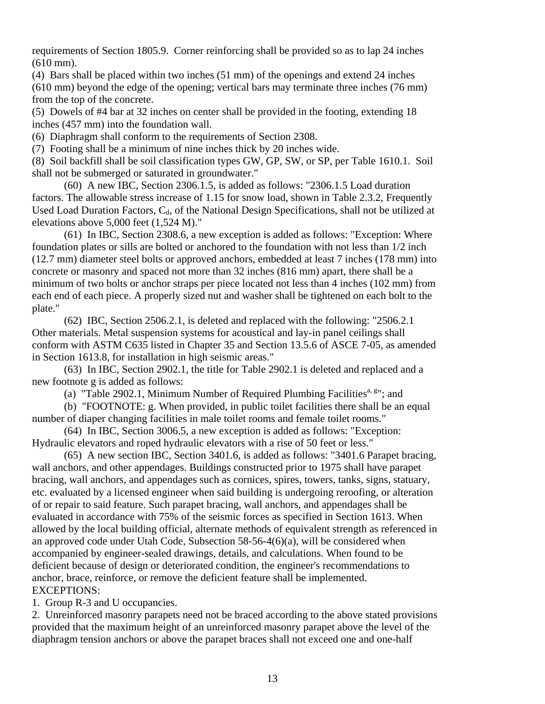requirements of Section 1805.9. Corner reinforcing shall be provided so as to lap 24 inches (610 mm).

(4) Bars shall be placed within two inches (51 mm) of the openings and extend 24 inches (610 mm) beyond the edge of the opening; vertical bars may terminate three inches (76 mm) from the top of the concrete.

(5) Dowels of #4 bar at 32 inches on center shall be provided in the footing, extending 18 inches (457 mm) into the foundation wall.

(6) Diaphragm shall conform to the requirements of Section 2308.

(7) Footing shall be a minimum of nine inches thick by 20 inches wide.

(8) Soil backfill shall be soil classification types GW, GP, SW, or SP, per Table 1610.1. Soil shall not be submerged or saturated in groundwater."

 (60) A new IBC, Section 2306.1.5, is added as follows: "2306.1.5 Load duration factors. The allowable stress increase of 1.15 for snow load, shown in Table 2.3.2, Frequently Used Load Duration Factors,  $C<sub>d</sub>$ , of the National Design Specifications, shall not be utilized at elevations above 5,000 feet (1,524 M)."

 (61) In IBC, Section 2308.6, a new exception is added as follows: "Exception: Where foundation plates or sills are bolted or anchored to the foundation with not less than 1/2 inch (12.7 mm) diameter steel bolts or approved anchors, embedded at least 7 inches (178 mm) into concrete or masonry and spaced not more than 32 inches (816 mm) apart, there shall be a minimum of two bolts or anchor straps per piece located not less than 4 inches (102 mm) from each end of each piece. A properly sized nut and washer shall be tightened on each bolt to the plate."

 (62) IBC, Section 2506.2.1, is deleted and replaced with the following: "2506.2.1 Other materials. Metal suspension systems for acoustical and lay-in panel ceilings shall conform with ASTM C635 listed in Chapter 35 and Section 13.5.6 of ASCE 7-05, as amended in Section 1613.8, for installation in high seismic areas."

 (63) In IBC, Section 2902.1, the title for Table 2902.1 is deleted and replaced and a new footnote g is added as follows:

(a) "Table 2902.1, Minimum Number of Required Plumbing Facilities<sup>a, g</sup>"; and

 (b) "FOOTNOTE: g. When provided, in public toilet facilities there shall be an equal number of diaper changing facilities in male toilet rooms and female toilet rooms."

 (64) In IBC, Section 3006.5, a new exception is added as follows: "Exception: Hydraulic elevators and roped hydraulic elevators with a rise of 50 feet or less."

 (65) A new section IBC, Section 3401.6, is added as follows: "3401.6 Parapet bracing, wall anchors, and other appendages. Buildings constructed prior to 1975 shall have parapet bracing, wall anchors, and appendages such as cornices, spires, towers, tanks, signs, statuary, etc. evaluated by a licensed engineer when said building is undergoing reroofing, or alteration of or repair to said feature. Such parapet bracing, wall anchors, and appendages shall be evaluated in accordance with 75% of the seismic forces as specified in Section 1613. When allowed by the local building official, alternate methods of equivalent strength as referenced in an approved code under Utah Code, Subsection 58-56-4(6)(a), will be considered when accompanied by engineer-sealed drawings, details, and calculations. When found to be deficient because of design or deteriorated condition, the engineer's recommendations to anchor, brace, reinforce, or remove the deficient feature shall be implemented. EXCEPTIONS:

1. Group R-3 and U occupancies.

2. Unreinforced masonry parapets need not be braced according to the above stated provisions provided that the maximum height of an unreinforced masonry parapet above the level of the diaphragm tension anchors or above the parapet braces shall not exceed one and one-half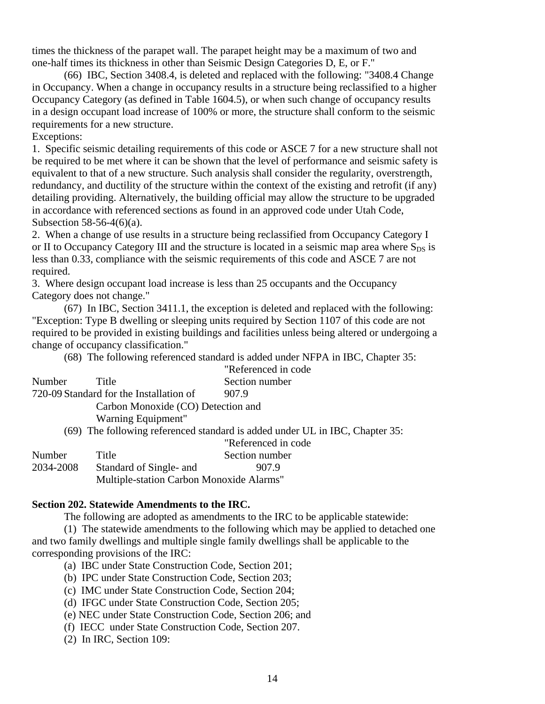times the thickness of the parapet wall. The parapet height may be a maximum of two and one-half times its thickness in other than Seismic Design Categories D, E, or F."

 (66) IBC, Section 3408.4, is deleted and replaced with the following: "3408.4 Change in Occupancy. When a change in occupancy results in a structure being reclassified to a higher Occupancy Category (as defined in Table 1604.5), or when such change of occupancy results in a design occupant load increase of 100% or more, the structure shall conform to the seismic requirements for a new structure.

#### Exceptions:

1. Specific seismic detailing requirements of this code or ASCE 7 for a new structure shall not be required to be met where it can be shown that the level of performance and seismic safety is equivalent to that of a new structure. Such analysis shall consider the regularity, overstrength, redundancy, and ductility of the structure within the context of the existing and retrofit (if any) detailing providing. Alternatively, the building official may allow the structure to be upgraded in accordance with referenced sections as found in an approved code under Utah Code, Subsection 58-56-4(6)(a).

2. When a change of use results in a structure being reclassified from Occupancy Category I or II to Occupancy Category III and the structure is located in a seismic map area where  $S_{DS}$  is less than 0.33, compliance with the seismic requirements of this code and ASCE 7 are not required.

3. Where design occupant load increase is less than 25 occupants and the Occupancy Category does not change."

 (67) In IBC, Section 3411.1, the exception is deleted and replaced with the following: "Exception: Type B dwelling or sleeping units required by Section 1107 of this code are not required to be provided in existing buildings and facilities unless being altered or undergoing a change of occupancy classification."

(68) The following referenced standard is added under NFPA in IBC, Chapter 35:

|           |                                          | "Referenced in code"                                                         |
|-----------|------------------------------------------|------------------------------------------------------------------------------|
| Number    | Title                                    | Section number                                                               |
|           | 720-09 Standard for the Installation of  | 907.9                                                                        |
|           | Carbon Monoxide (CO) Detection and       |                                                                              |
|           | Warning Equipment"                       |                                                                              |
|           |                                          | (69) The following referenced standard is added under UL in IBC, Chapter 35: |
|           |                                          | "Referenced in code"                                                         |
| Number    | Title                                    | Section number                                                               |
| 2034-2008 | Standard of Single- and                  | 907.9                                                                        |
|           | Multiple-station Carbon Monoxide Alarms" |                                                                              |

#### **Section 202. Statewide Amendments to the IRC.**

The following are adopted as amendments to the IRC to be applicable statewide:

 (1) The statewide amendments to the following which may be applied to detached one and two family dwellings and multiple single family dwellings shall be applicable to the corresponding provisions of the IRC:

- (a) IBC under State Construction Code, Section 201;
- (b) IPC under State Construction Code, Section 203;
- (c) IMC under State Construction Code, Section 204;
- (d) IFGC under State Construction Code, Section 205;
- (e) NEC under State Construction Code, Section 206; and
- (f) IECC under State Construction Code, Section 207.
- (2) In IRC, Section 109: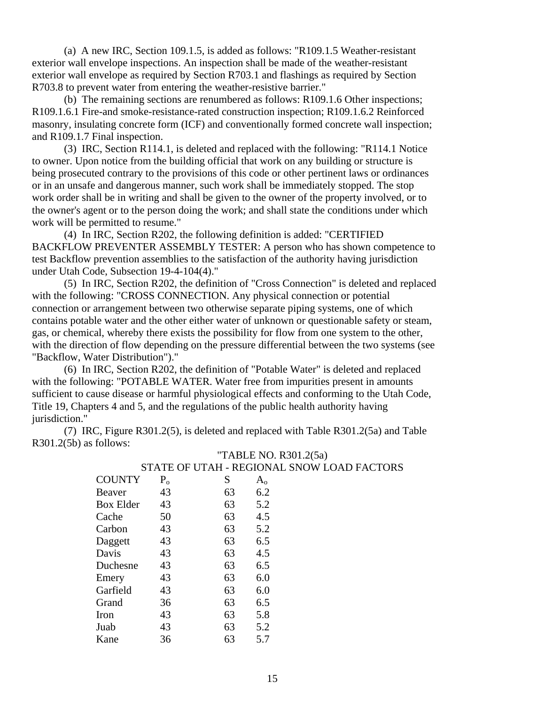(a) A new IRC, Section 109.1.5, is added as follows: "R109.1.5 Weather-resistant exterior wall envelope inspections. An inspection shall be made of the weather-resistant exterior wall envelope as required by Section R703.1 and flashings as required by Section R703.8 to prevent water from entering the weather-resistive barrier."

 (b) The remaining sections are renumbered as follows: R109.1.6 Other inspections; R109.1.6.1 Fire-and smoke-resistance-rated construction inspection; R109.1.6.2 Reinforced masonry, insulating concrete form (ICF) and conventionally formed concrete wall inspection; and R109.1.7 Final inspection.

 (3) IRC, Section R114.1, is deleted and replaced with the following: "R114.1 Notice to owner. Upon notice from the building official that work on any building or structure is being prosecuted contrary to the provisions of this code or other pertinent laws or ordinances or in an unsafe and dangerous manner, such work shall be immediately stopped. The stop work order shall be in writing and shall be given to the owner of the property involved, or to the owner's agent or to the person doing the work; and shall state the conditions under which work will be permitted to resume."

 (4) In IRC, Section R202, the following definition is added: "CERTIFIED BACKFLOW PREVENTER ASSEMBLY TESTER: A person who has shown competence to test Backflow prevention assemblies to the satisfaction of the authority having jurisdiction under Utah Code, Subsection 19-4-104(4)."

 (5) In IRC, Section R202, the definition of "Cross Connection" is deleted and replaced with the following: "CROSS CONNECTION. Any physical connection or potential connection or arrangement between two otherwise separate piping systems, one of which contains potable water and the other either water of unknown or questionable safety or steam, gas, or chemical, whereby there exists the possibility for flow from one system to the other, with the direction of flow depending on the pressure differential between the two systems (see "Backflow, Water Distribution")."

 (6) In IRC, Section R202, the definition of "Potable Water" is deleted and replaced with the following: "POTABLE WATER. Water free from impurities present in amounts sufficient to cause disease or harmful physiological effects and conforming to the Utah Code, Title 19, Chapters 4 and 5, and the regulations of the public health authority having jurisdiction."

 (7) IRC, Figure R301.2(5), is deleted and replaced with Table R301.2(5a) and Table R301.2(5b) as follows:

|                  |         |    | STATE OF UTAH - REGIONAL SNOW |
|------------------|---------|----|-------------------------------|
| <b>COUNTY</b>    | $P_{o}$ | S  | $A_{0}$                       |
| Beaver           | 43      | 63 | 6.2                           |
| <b>Box Elder</b> | 43      | 63 | 5.2                           |
| Cache            | 50      | 63 | 4.5                           |
| Carbon           | 43      | 63 | 5.2                           |
| Daggett          | 43      | 63 | 6.5                           |
| Davis            | 43      | 63 | 4.5                           |
| Duchesne         | 43      | 63 | 6.5                           |
| Emery            | 43      | 63 | 6.0                           |
| Garfield         | 43      | 63 | 6.0                           |
| Grand            | 36      | 63 | 6.5                           |
| Iron             | 43      | 63 | 5.8                           |
| Juab             | 43      | 63 | 5.2                           |
| Kane             | 36      | 63 | 5.7                           |

#### "TABLE NO. R301.2(5a)

#### V LOAD FACTORS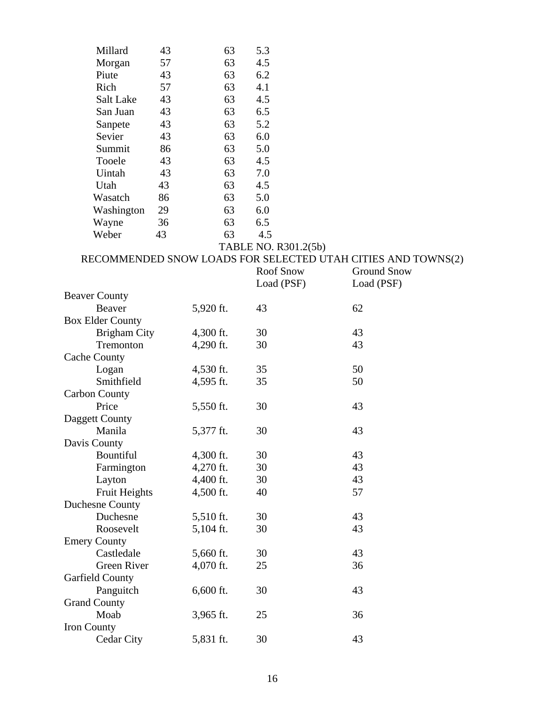| Millard                 | 43 | 63        | 5.3                  |                                                              |
|-------------------------|----|-----------|----------------------|--------------------------------------------------------------|
| Morgan                  | 57 | 63        | 4.5                  |                                                              |
| Piute                   | 43 | 63        | 6.2                  |                                                              |
| Rich                    | 57 | 63        | 4.1                  |                                                              |
| Salt Lake               | 43 | 63        | 4.5                  |                                                              |
| San Juan                | 43 | 63        | 6.5                  |                                                              |
| Sanpete                 | 43 | 63        | 5.2                  |                                                              |
| Sevier                  | 43 | 63        | 6.0                  |                                                              |
| Summit                  | 86 | 63        | 5.0                  |                                                              |
| Tooele                  | 43 | 63        | 4.5                  |                                                              |
| Uintah                  | 43 | 63        | 7.0                  |                                                              |
| Utah                    | 43 | 63        | 4.5                  |                                                              |
| Wasatch                 | 86 | 63        | 5.0                  |                                                              |
| Washington              | 29 | 63        | 6.0                  |                                                              |
| Wayne                   | 36 | 63        | 6.5                  |                                                              |
| Weber                   | 43 | 63        | 4.5                  |                                                              |
|                         |    |           | TABLE NO. R301.2(5b) |                                                              |
|                         |    |           |                      | RECOMMENDED SNOW LOADS FOR SELECTED UTAH CITIES AND TOWNS(2) |
|                         |    |           | Roof Snow            | <b>Ground Snow</b>                                           |
|                         |    |           | Load (PSF)           | Load (PSF)                                                   |
| <b>Beaver County</b>    |    |           |                      |                                                              |
| Beaver                  |    | 5,920 ft. | 43                   | 62                                                           |
| <b>Box Elder County</b> |    |           |                      |                                                              |
| <b>Brigham City</b>     |    | 4,300 ft. | 30                   | 43                                                           |
| Tremonton               |    | 4,290 ft. | 30                   | 43                                                           |
| <b>Cache County</b>     |    |           |                      |                                                              |
| Logan                   |    | 4,530 ft. | 35                   | 50                                                           |
| Smithfield              |    | 4,595 ft. | 35                   | 50                                                           |
| <b>Carbon County</b>    |    |           |                      |                                                              |
| Price                   |    | 5,550 ft. | 30                   | 43                                                           |
| Daggett County          |    |           |                      |                                                              |
| Manila                  |    | 5,377 ft. | 30                   | 43                                                           |
| Davis County            |    |           |                      |                                                              |
| Bountiful               |    | 4,300 ft. | 30                   | 43                                                           |
| Farmington              |    | 4,270 ft. | 30                   | 43                                                           |
| Layton                  |    | 4,400 ft. | 30                   | 43                                                           |
| <b>Fruit Heights</b>    |    | 4,500 ft. | 40                   | 57                                                           |
| <b>Duchesne County</b>  |    |           |                      |                                                              |
| Duchesne                |    | 5,510 ft. | 30                   | 43                                                           |
| Roosevelt               |    | 5,104 ft. | 30                   | 43                                                           |
| <b>Emery County</b>     |    |           |                      |                                                              |
| Castledale              |    | 5,660 ft. | 30                   | 43                                                           |
| Green River             |    | 4,070 ft. | 25                   | 36                                                           |
| <b>Garfield County</b>  |    |           |                      |                                                              |
| Panguitch               |    | 6,600 ft. | 30                   | 43                                                           |
| <b>Grand County</b>     |    |           |                      |                                                              |
| Moab                    |    | 3,965 ft. | 25                   | 36                                                           |
| Iron County             |    |           |                      |                                                              |
| <b>Cedar City</b>       |    | 5,831 ft. | 30                   | 43                                                           |
|                         |    |           |                      |                                                              |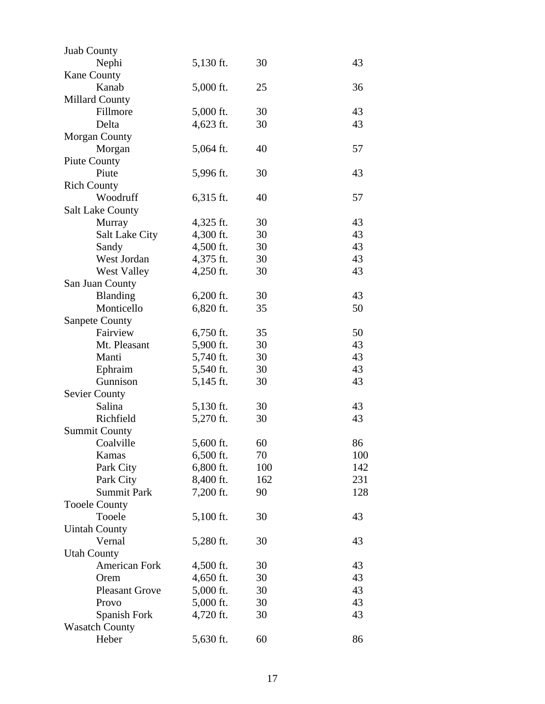| <b>Juab County</b>      |             |     |     |
|-------------------------|-------------|-----|-----|
| Nephi                   | 5,130 ft.   | 30  | 43  |
| <b>Kane County</b>      |             |     |     |
| Kanab                   | 5,000 ft.   | 25  | 36  |
| <b>Millard County</b>   |             |     |     |
| Fillmore                | 5,000 ft.   | 30  | 43  |
| Delta                   | 4,623 ft.   | 30  | 43  |
| <b>Morgan County</b>    |             |     |     |
| Morgan                  | 5,064 ft.   | 40  | 57  |
| Piute County            |             |     |     |
| Piute                   | 5,996 ft.   | 30  | 43  |
| <b>Rich County</b>      |             |     |     |
| Woodruff                | 6,315 ft.   | 40  | 57  |
| <b>Salt Lake County</b> |             |     |     |
| Murray                  | 4,325 ft.   | 30  | 43  |
| Salt Lake City          | 4,300 ft.   | 30  | 43  |
| Sandy                   | 4,500 ft.   | 30  | 43  |
| West Jordan             | 4,375 ft.   | 30  | 43  |
| <b>West Valley</b>      | 4,250 ft.   | 30  | 43  |
| San Juan County         |             |     |     |
| <b>Blanding</b>         | $6,200$ ft. | 30  | 43  |
| Monticello              | 6,820 ft.   | 35  | 50  |
| <b>Sanpete County</b>   |             |     |     |
| Fairview                | 6,750 ft.   | 35  | 50  |
| Mt. Pleasant            | 5,900 ft.   | 30  | 43  |
| Manti                   | 5,740 ft.   | 30  | 43  |
| Ephraim                 | 5,540 ft.   | 30  | 43  |
| Gunnison                | 5,145 ft.   | 30  | 43  |
| <b>Sevier County</b>    |             |     |     |
| Salina                  | 5,130 ft.   | 30  | 43  |
| Richfield               | 5,270 ft.   | 30  | 43  |
| <b>Summit County</b>    |             |     |     |
| Coalville               | 5,600 ft.   | 60  | 86  |
| Kamas                   | 6,500 ft.   | 70  | 100 |
| Park City               | 6,800 ft.   | 100 | 142 |
| Park City               | 8,400 ft.   | 162 | 231 |
| <b>Summit Park</b>      | 7,200 ft.   | 90  | 128 |
| <b>Tooele County</b>    |             |     |     |
| Tooele                  | 5,100 ft.   | 30  | 43  |
| <b>Uintah County</b>    |             |     |     |
| Vernal                  | 5,280 ft.   | 30  | 43  |
| <b>Utah County</b>      |             |     |     |
| <b>American Fork</b>    | 4,500 ft.   | 30  | 43  |
| Orem                    | 4,650 ft.   | 30  | 43  |
| <b>Pleasant Grove</b>   | 5,000 ft.   | 30  | 43  |
| Provo                   | 5,000 ft.   | 30  | 43  |
| Spanish Fork            | 4,720 ft.   | 30  | 43  |
| <b>Wasatch County</b>   |             |     |     |
| Heber                   | 5,630 ft.   | 60  | 86  |
|                         |             |     |     |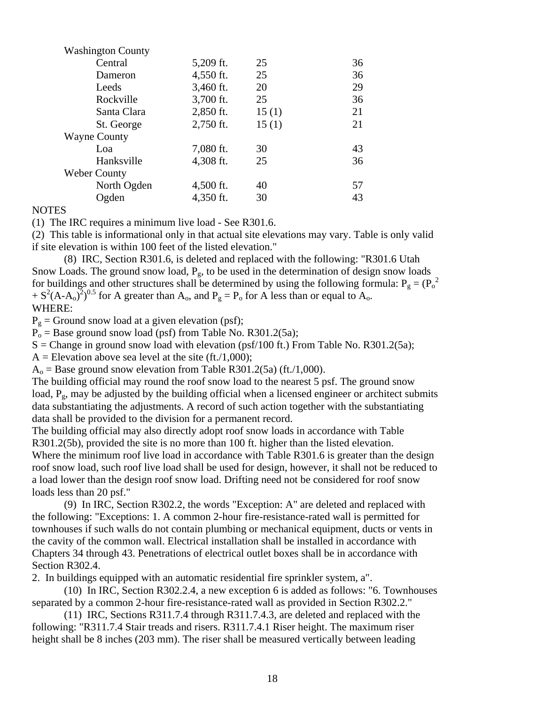| <b>Washington County</b> |             |       |    |
|--------------------------|-------------|-------|----|
| Central                  | 5,209 ft.   | 25    | 36 |
| Dameron                  | 4,550 ft.   | 25    | 36 |
| Leeds                    | 3,460 ft.   | 20    | 29 |
| Rockville                | 3,700 ft.   | 25    | 36 |
| Santa Clara              | 2,850 ft.   | 15(1) | 21 |
| St. George               | 2,750 ft.   | 15(1) | 21 |
| <b>Wayne County</b>      |             |       |    |
| Loa                      | 7,080 ft.   | 30    | 43 |
| Hanksville               | 4,308 ft.   | 25    | 36 |
| <b>Weber County</b>      |             |       |    |
| North Ogden              | $4,500$ ft. | 40    | 57 |
| Ogden                    | 4,350 ft.   | 30    | 43 |
|                          |             |       |    |

#### **NOTES**

(1) The IRC requires a minimum live load - See R301.6.

(2) This table is informational only in that actual site elevations may vary. Table is only valid if site elevation is within 100 feet of the listed elevation."

 (8) IRC, Section R301.6, is deleted and replaced with the following: "R301.6 Utah Snow Loads. The ground snow load,  $P_g$ , to be used in the determination of design snow loads for buildings and other structures shall be determined by using the following formula:  $P_g = (P_o^2)$  $+ S<sup>2</sup>(A-A<sub>o</sub>)<sup>2</sup>)<sup>0.5</sup>$  for A greater than A<sub>o</sub>, and P<sub>g</sub> = P<sub>o</sub> for A less than or equal to A<sub>o</sub>. WHERE:

 $P_g$  = Ground snow load at a given elevation (psf);

 $P_0$  = Base ground snow load (psf) from Table No. R301.2(5a);

 $S =$ Change in ground snow load with elevation (psf/100 ft.) From Table No. R301.2(5a);

 $A =$  Elevation above sea level at the site (ft./1,000);

 $A<sub>o</sub>$  = Base ground snow elevation from Table R301.2(5a) (ft./1,000).

The building official may round the roof snow load to the nearest 5 psf. The ground snow load, Pg, may be adjusted by the building official when a licensed engineer or architect submits data substantiating the adjustments. A record of such action together with the substantiating data shall be provided to the division for a permanent record.

The building official may also directly adopt roof snow loads in accordance with Table R301.2(5b), provided the site is no more than 100 ft. higher than the listed elevation.

Where the minimum roof live load in accordance with Table R301.6 is greater than the design roof snow load, such roof live load shall be used for design, however, it shall not be reduced to a load lower than the design roof snow load. Drifting need not be considered for roof snow loads less than 20 psf."

 (9) In IRC, Section R302.2, the words "Exception: A" are deleted and replaced with the following: "Exceptions: 1. A common 2-hour fire-resistance-rated wall is permitted for townhouses if such walls do not contain plumbing or mechanical equipment, ducts or vents in the cavity of the common wall. Electrical installation shall be installed in accordance with Chapters 34 through 43. Penetrations of electrical outlet boxes shall be in accordance with Section R302.4.

2. In buildings equipped with an automatic residential fire sprinkler system, a".

 (10) In IRC, Section R302.2.4, a new exception 6 is added as follows: "6. Townhouses separated by a common 2-hour fire-resistance-rated wall as provided in Section R302.2."

 (11) IRC, Sections R311.7.4 through R311.7.4.3, are deleted and replaced with the following: "R311.7.4 Stair treads and risers. R311.7.4.1 Riser height. The maximum riser height shall be 8 inches (203 mm). The riser shall be measured vertically between leading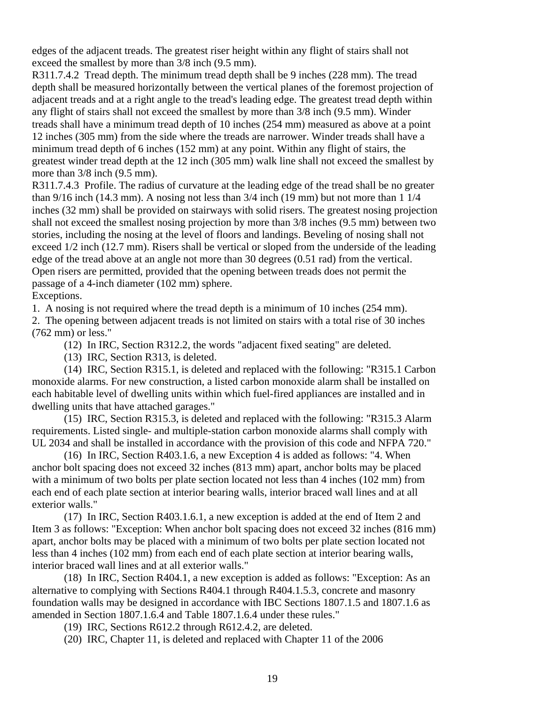edges of the adjacent treads. The greatest riser height within any flight of stairs shall not exceed the smallest by more than 3/8 inch (9.5 mm).

R311.7.4.2 Tread depth. The minimum tread depth shall be 9 inches (228 mm). The tread depth shall be measured horizontally between the vertical planes of the foremost projection of adjacent treads and at a right angle to the tread's leading edge. The greatest tread depth within any flight of stairs shall not exceed the smallest by more than 3/8 inch (9.5 mm). Winder treads shall have a minimum tread depth of 10 inches (254 mm) measured as above at a point 12 inches (305 mm) from the side where the treads are narrower. Winder treads shall have a minimum tread depth of 6 inches (152 mm) at any point. Within any flight of stairs, the greatest winder tread depth at the 12 inch (305 mm) walk line shall not exceed the smallest by more than  $3/8$  inch (9.5 mm).

R311.7.4.3 Profile. The radius of curvature at the leading edge of the tread shall be no greater than  $9/16$  inch (14.3 mm). A nosing not less than  $3/4$  inch (19 mm) but not more than 1  $1/4$ inches (32 mm) shall be provided on stairways with solid risers. The greatest nosing projection shall not exceed the smallest nosing projection by more than 3/8 inches (9.5 mm) between two stories, including the nosing at the level of floors and landings. Beveling of nosing shall not exceed 1/2 inch (12.7 mm). Risers shall be vertical or sloped from the underside of the leading edge of the tread above at an angle not more than 30 degrees (0.51 rad) from the vertical. Open risers are permitted, provided that the opening between treads does not permit the passage of a 4-inch diameter (102 mm) sphere. Exceptions.

1. A nosing is not required where the tread depth is a minimum of 10 inches (254 mm).

2. The opening between adjacent treads is not limited on stairs with a total rise of 30 inches (762 mm) or less."

(12) In IRC, Section R312.2, the words "adjacent fixed seating" are deleted.

(13) IRC, Section R313, is deleted.

 (14) IRC, Section R315.1, is deleted and replaced with the following: "R315.1 Carbon monoxide alarms. For new construction, a listed carbon monoxide alarm shall be installed on each habitable level of dwelling units within which fuel-fired appliances are installed and in dwelling units that have attached garages."

 (15) IRC, Section R315.3, is deleted and replaced with the following: "R315.3 Alarm requirements. Listed single- and multiple-station carbon monoxide alarms shall comply with UL 2034 and shall be installed in accordance with the provision of this code and NFPA 720."

 (16) In IRC, Section R403.1.6, a new Exception 4 is added as follows: "4. When anchor bolt spacing does not exceed 32 inches (813 mm) apart, anchor bolts may be placed with a minimum of two bolts per plate section located not less than 4 inches (102 mm) from each end of each plate section at interior bearing walls, interior braced wall lines and at all exterior walls."

 (17) In IRC, Section R403.1.6.1, a new exception is added at the end of Item 2 and Item 3 as follows: "Exception: When anchor bolt spacing does not exceed 32 inches (816 mm) apart, anchor bolts may be placed with a minimum of two bolts per plate section located not less than 4 inches (102 mm) from each end of each plate section at interior bearing walls, interior braced wall lines and at all exterior walls."

 (18) In IRC, Section R404.1, a new exception is added as follows: "Exception: As an alternative to complying with Sections R404.1 through R404.1.5.3, concrete and masonry foundation walls may be designed in accordance with IBC Sections 1807.1.5 and 1807.1.6 as amended in Section 1807.1.6.4 and Table 1807.1.6.4 under these rules."

(19) IRC, Sections R612.2 through R612.4.2, are deleted.

(20) IRC, Chapter 11, is deleted and replaced with Chapter 11 of the 2006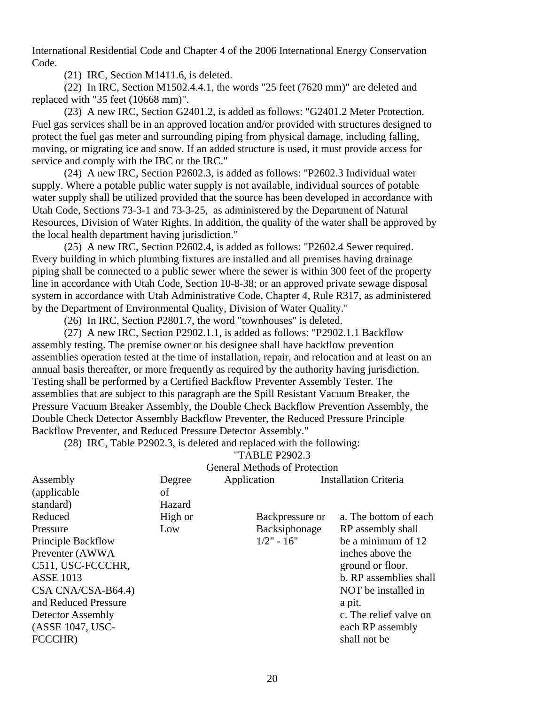International Residential Code and Chapter 4 of the 2006 International Energy Conservation Code.

(21) IRC, Section M1411.6, is deleted.

 (22) In IRC, Section M1502.4.4.1, the words "25 feet (7620 mm)" are deleted and replaced with "35 feet (10668 mm)".

 (23) A new IRC, Section G2401.2, is added as follows: "G2401.2 Meter Protection. Fuel gas services shall be in an approved location and/or provided with structures designed to protect the fuel gas meter and surrounding piping from physical damage, including falling, moving, or migrating ice and snow. If an added structure is used, it must provide access for service and comply with the IBC or the IRC."

 (24) A new IRC, Section P2602.3, is added as follows: "P2602.3 Individual water supply. Where a potable public water supply is not available, individual sources of potable water supply shall be utilized provided that the source has been developed in accordance with Utah Code, Sections 73-3-1 and 73-3-25, as administered by the Department of Natural Resources, Division of Water Rights. In addition, the quality of the water shall be approved by the local health department having jurisdiction."

 (25) A new IRC, Section P2602.4, is added as follows: "P2602.4 Sewer required. Every building in which plumbing fixtures are installed and all premises having drainage piping shall be connected to a public sewer where the sewer is within 300 feet of the property line in accordance with Utah Code, Section 10-8-38; or an approved private sewage disposal system in accordance with Utah Administrative Code, Chapter 4, Rule R317, as administered by the Department of Environmental Quality, Division of Water Quality."

(26) In IRC, Section P2801.7, the word "townhouses" is deleted.

 (27) A new IRC, Section P2902.1.1, is added as follows: "P2902.1.1 Backflow assembly testing. The premise owner or his designee shall have backflow prevention assemblies operation tested at the time of installation, repair, and relocation and at least on an annual basis thereafter, or more frequently as required by the authority having jurisdiction. Testing shall be performed by a Certified Backflow Preventer Assembly Tester. The assemblies that are subject to this paragraph are the Spill Resistant Vacuum Breaker, the Pressure Vacuum Breaker Assembly, the Double Check Backflow Prevention Assembly, the Double Check Detector Assembly Backflow Preventer, the Reduced Pressure Principle Backflow Preventer, and Reduced Pressure Detector Assembly."

(28) IRC, Table P2902.3, is deleted and replaced with the following:

"TABLE P2902.3

General Methods of Protection

| Assembly                  | Degree  | Application     | <b>Installation Criteria</b> |
|---------------------------|---------|-----------------|------------------------------|
| (applicable)              | οf      |                 |                              |
| standard)                 | Hazard  |                 |                              |
| Reduced                   | High or | Backpressure or | a. The bottom of each        |
| Pressure                  | Low     | Backsiphonage   | RP assembly shall            |
| <b>Principle Backflow</b> |         | $1/2" - 16"$    | be a minimum of 12           |
| Preventer (AWWA           |         |                 | inches above the             |
| C511, USC-FCCCHR,         |         |                 | ground or floor.             |
| <b>ASSE 1013</b>          |         |                 | b. RP assemblies shall       |
| CSA CNA/CSA-B64.4)        |         |                 | NOT be installed in          |
| and Reduced Pressure      |         |                 | a pit.                       |
| Detector Assembly         |         |                 | c. The relief valve on       |
| (ASSE 1047, USC-          |         |                 | each RP assembly             |
| FCCCHR)                   |         |                 | shall not be                 |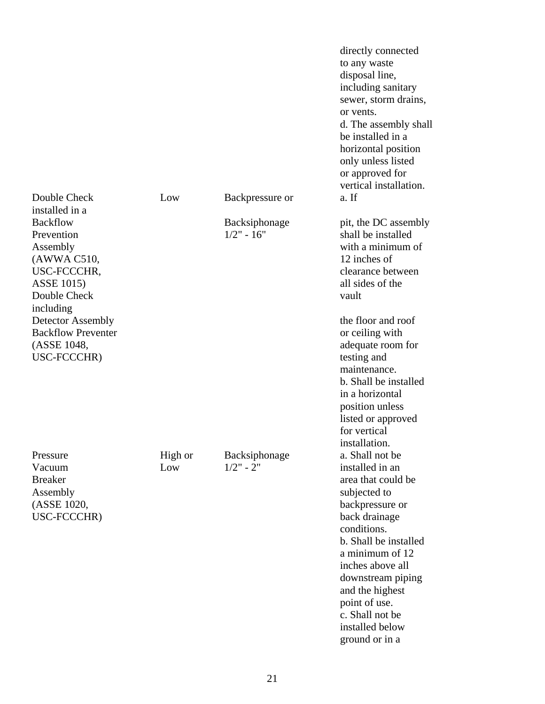| Double Check                                                                                                                                                                                                                       | Low            | Backpressure or               | directly connected<br>to any waste<br>disposal line,<br>including sanitary<br>sewer, storm drains,<br>or vents.<br>d. The assembly shall<br>be installed in a<br>horizontal position<br>only unless listed<br>or approved for<br>vertical installation.<br>a. If                                                                                    |
|------------------------------------------------------------------------------------------------------------------------------------------------------------------------------------------------------------------------------------|----------------|-------------------------------|-----------------------------------------------------------------------------------------------------------------------------------------------------------------------------------------------------------------------------------------------------------------------------------------------------------------------------------------------------|
| installed in a<br><b>Backflow</b><br>Prevention<br>Assembly<br>(AWWA C510,<br>USC-FCCCHR,<br><b>ASSE 1015)</b><br>Double Check<br>including<br><b>Detector Assembly</b><br><b>Backflow Preventer</b><br>(ASSE 1048,<br>USC-FCCCHR) |                | Backsiphonage<br>$1/2" - 16"$ | pit, the DC assembly<br>shall be installed<br>with a minimum of<br>12 inches of<br>clearance between<br>all sides of the<br>vault<br>the floor and roof<br>or ceiling with<br>adequate room for<br>testing and<br>maintenance.<br>b. Shall be installed<br>in a horizontal<br>position unless<br>listed or approved<br>for vertical<br>installation |
| Pressure<br>Vacuum<br><b>Breaker</b><br>Assembly<br>(ASSE 1020,<br>USC-FCCCHR)                                                                                                                                                     | High or<br>Low | Backsiphonage<br>$1/2" - 2"$  | a. Shall not be<br>installed in an<br>area that could be<br>subjected to<br>backpressure or<br>back drainage<br>conditions.<br>b. Shall be installed<br>a minimum of 12<br>inches above all<br>downstream piping<br>and the highest<br>point of use.<br>c. Shall not be<br>installed below<br>ground or in a                                        |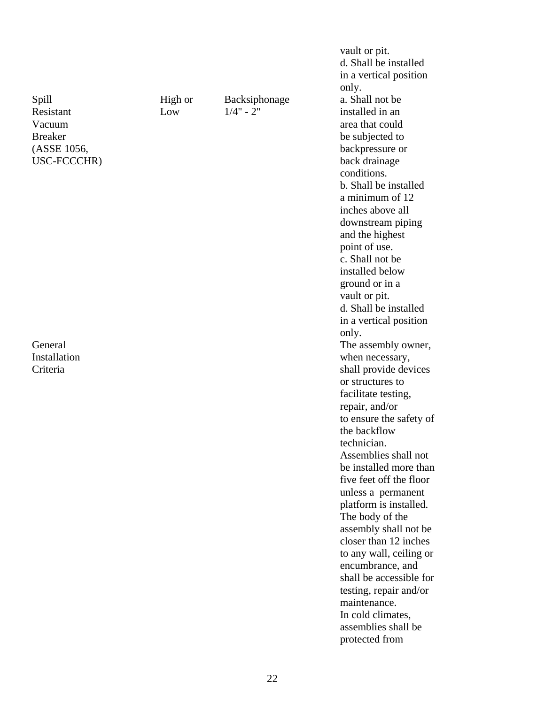|                |         |               | vault or pit.           |
|----------------|---------|---------------|-------------------------|
|                |         |               | d. Shall be installed   |
|                |         |               | in a vertical position  |
|                |         |               | only.                   |
| Spill          | High or | Backsiphonage | a. Shall not be         |
| Resistant      | Low     | $1/4" - 2"$   | installed in an         |
| Vacuum         |         |               | area that could         |
| <b>Breaker</b> |         |               | be subjected to         |
| (ASSE 1056,    |         |               | backpressure or         |
| USC-FCCCHR)    |         |               | back drainage           |
|                |         |               | conditions.             |
|                |         |               | b. Shall be installed   |
|                |         |               | a minimum of 12         |
|                |         |               | inches above all        |
|                |         |               | downstream piping       |
|                |         |               | and the highest         |
|                |         |               | point of use.           |
|                |         |               | c. Shall not be         |
|                |         |               | installed below         |
|                |         |               | ground or in a          |
|                |         |               | vault or pit.           |
|                |         |               | d. Shall be installed   |
|                |         |               | in a vertical position  |
|                |         |               | only.                   |
| General        |         |               | The assembly owner,     |
| Installation   |         |               | when necessary,         |
| Criteria       |         |               | shall provide devices   |
|                |         |               | or structures to        |
|                |         |               | facilitate testing,     |
|                |         |               | repair, and/or          |
|                |         |               | to ensure the safety of |
|                |         |               | the backflow            |
|                |         |               | technician.             |
|                |         |               | Assemblies shall not    |
|                |         |               | be installed more than  |
|                |         |               | five feet off the floor |
|                |         |               | unless a permanent      |
|                |         |               | platform is installed.  |
|                |         |               | The body of the         |
|                |         |               | assembly shall not be   |
|                |         |               | closer than 12 inches   |
|                |         |               | to any wall, ceiling or |
|                |         |               | encumbrance, and        |
|                |         |               | shall be accessible for |
|                |         |               | testing, repair and/or  |
|                |         |               | maintenance.            |
|                |         |               | In cold climates,       |
|                |         |               | assemblies shall be     |
|                |         |               | protected from          |
|                |         |               |                         |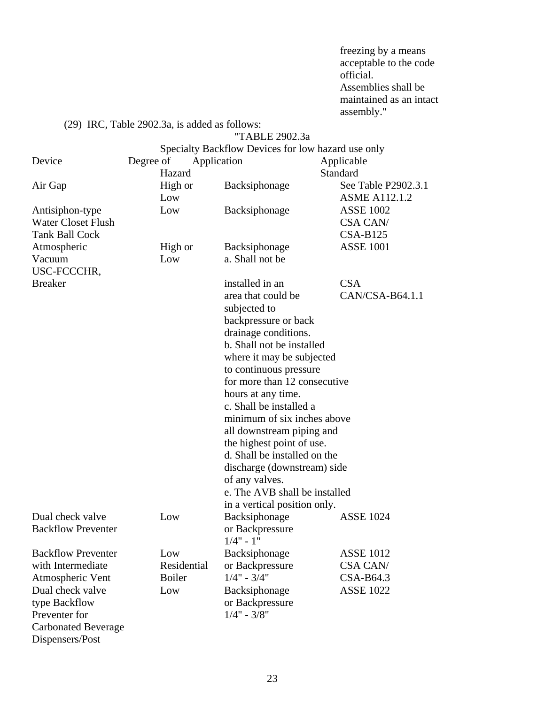freezing by a means acceptable to the code official. Assemblies shall be maintained as an intact

|                                                 | assembly." |
|-------------------------------------------------|------------|
| $(29)$ IRC, Table 2902.3a, is added as follows: |            |

Dispensers/Post

# "TABLE 2902.3a

|                            |               | Specialty Backflow Devices for low hazard use only |                      |
|----------------------------|---------------|----------------------------------------------------|----------------------|
| Device                     | Degree of     | Application                                        | Applicable           |
|                            | Hazard        |                                                    | Standard             |
| Air Gap                    | High or       | Backsiphonage                                      | See Table P2902.3.1  |
|                            | Low           |                                                    | <b>ASME A112.1.2</b> |
| Antisiphon-type            | Low           | Backsiphonage                                      | <b>ASSE 1002</b>     |
| <b>Water Closet Flush</b>  |               |                                                    | CSA CAN/             |
| <b>Tank Ball Cock</b>      |               |                                                    | $CSA-B125$           |
| Atmospheric                | High or       | Backsiphonage                                      | <b>ASSE 1001</b>     |
| Vacuum                     | Low           | a. Shall not be                                    |                      |
| USC-FCCCHR,                |               |                                                    |                      |
| <b>Breaker</b>             |               | installed in an                                    | <b>CSA</b>           |
|                            |               | area that could be                                 | CAN/CSA-B64.1.1      |
|                            |               | subjected to                                       |                      |
|                            |               | backpressure or back                               |                      |
|                            |               | drainage conditions.                               |                      |
|                            |               | b. Shall not be installed                          |                      |
|                            |               | where it may be subjected                          |                      |
|                            |               | to continuous pressure                             |                      |
|                            |               | for more than 12 consecutive                       |                      |
|                            |               | hours at any time.                                 |                      |
|                            |               | c. Shall be installed a                            |                      |
|                            |               | minimum of six inches above                        |                      |
|                            |               | all downstream piping and                          |                      |
|                            |               | the highest point of use.                          |                      |
|                            |               | d. Shall be installed on the                       |                      |
|                            |               | discharge (downstream) side                        |                      |
|                            |               | of any valves.                                     |                      |
|                            |               | e. The AVB shall be installed                      |                      |
|                            |               | in a vertical position only.                       |                      |
| Dual check valve           | Low           | Backsiphonage                                      | <b>ASSE 1024</b>     |
| <b>Backflow Preventer</b>  |               | or Backpressure                                    |                      |
|                            |               | $1/4" - 1"$                                        |                      |
| <b>Backflow Preventer</b>  | Low           | Backsiphonage                                      | <b>ASSE 1012</b>     |
| with Intermediate          | Residential   | or Backpressure                                    | CSA CAN/             |
| Atmospheric Vent           | <b>Boiler</b> | $1/4" - 3/4"$                                      | CSA-B64.3            |
| Dual check valve           | Low           | Backsiphonage                                      | <b>ASSE 1022</b>     |
| type Backflow              |               | or Backpressure                                    |                      |
| Preventer for              |               | $1/4" - 3/8"$                                      |                      |
| <b>Carbonated Beverage</b> |               |                                                    |                      |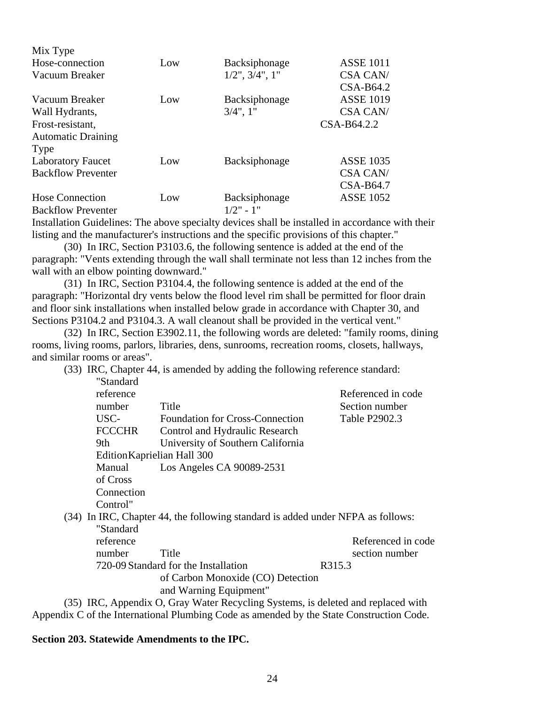| Mix Type                  |     |                         |                  |
|---------------------------|-----|-------------------------|------------------|
| Hose-connection           | Low | Backsiphonage           | <b>ASSE 1011</b> |
| Vacuum Breaker            |     | $1/2$ ", $3/4$ ", $1$ " | CSA CAN/         |
|                           |     |                         | CSA-B64.2        |
| Vacuum Breaker            | Low | Backsiphonage           | <b>ASSE 1019</b> |
| Wall Hydrants,            |     | $3/4$ ", 1"             | CSA CAN/         |
| Frost-resistant,          |     |                         | CSA-B64.2.2      |
| <b>Automatic Draining</b> |     |                         |                  |
| Type                      |     |                         |                  |
| <b>Laboratory Faucet</b>  | Low | Backsiphonage           | <b>ASSE 1035</b> |
| <b>Backflow Preventer</b> |     |                         | CSA CAN/         |
|                           |     |                         | CSA-B64.7        |
| <b>Hose Connection</b>    | Low | Backsiphonage           | <b>ASSE 1052</b> |
| <b>Backflow Preventer</b> |     | $1/2"$ - 1"             |                  |

Installation Guidelines: The above specialty devices shall be installed in accordance with their listing and the manufacturer's instructions and the specific provisions of this chapter."

 (30) In IRC, Section P3103.6, the following sentence is added at the end of the paragraph: "Vents extending through the wall shall terminate not less than 12 inches from the wall with an elbow pointing downward."

 (31) In IRC, Section P3104.4, the following sentence is added at the end of the paragraph: "Horizontal dry vents below the flood level rim shall be permitted for floor drain and floor sink installations when installed below grade in accordance with Chapter 30, and Sections P3104.2 and P3104.3. A wall cleanout shall be provided in the vertical vent."

 (32) In IRC, Section E3902.11, the following words are deleted: "family rooms, dining rooms, living rooms, parlors, libraries, dens, sunrooms, recreation rooms, closets, hallways, and similar rooms or areas".

(33) IRC, Chapter 44, is amended by adding the following reference standard:

| "Standard     |                                                                                 |                    |  |
|---------------|---------------------------------------------------------------------------------|--------------------|--|
| reference     |                                                                                 | Referenced in code |  |
| number        | Title                                                                           | Section number     |  |
| USC-          | <b>Foundation for Cross-Connection</b>                                          | Table P2902.3      |  |
| <b>FCCCHR</b> | Control and Hydraulic Research                                                  |                    |  |
| 9th           | University of Southern California                                               |                    |  |
|               | Edition Kaprielian Hall 300                                                     |                    |  |
| Manual        | Los Angeles CA 90089-2531                                                       |                    |  |
| of Cross      |                                                                                 |                    |  |
| Connection    |                                                                                 |                    |  |
| Control"      |                                                                                 |                    |  |
|               | (34) In IRC, Chapter 44, the following standard is added under NFPA as follows: |                    |  |
| "Standard     |                                                                                 |                    |  |
| reference     |                                                                                 | Referenced in code |  |
| number        | Title                                                                           | section number     |  |
|               | 720-09 Standard for the Installation                                            | R315.3             |  |
|               | of Carbon Monoxide (CO) Detection                                               |                    |  |
|               | and Warning Equipment"                                                          |                    |  |

 (35) IRC, Appendix O, Gray Water Recycling Systems, is deleted and replaced with Appendix C of the International Plumbing Code as amended by the State Construction Code.

#### **Section 203. Statewide Amendments to the IPC.**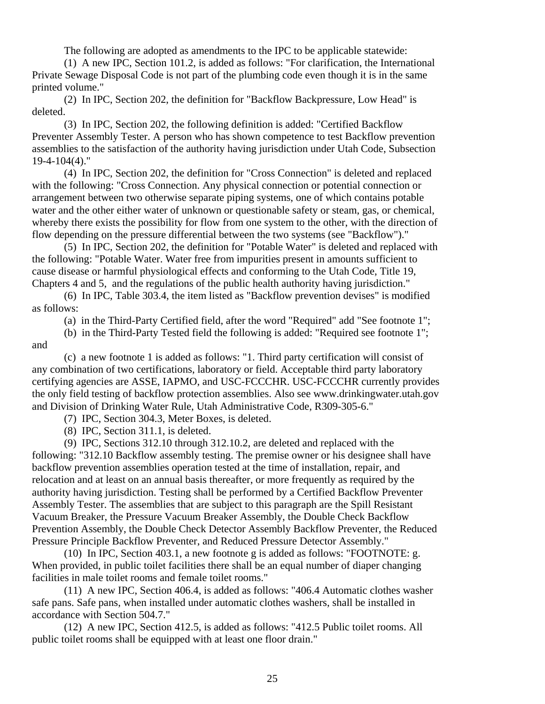The following are adopted as amendments to the IPC to be applicable statewide:

 (1) A new IPC, Section 101.2, is added as follows: "For clarification, the International Private Sewage Disposal Code is not part of the plumbing code even though it is in the same printed volume."

 (2) In IPC, Section 202, the definition for "Backflow Backpressure, Low Head" is deleted.

 (3) In IPC, Section 202, the following definition is added: "Certified Backflow Preventer Assembly Tester. A person who has shown competence to test Backflow prevention assemblies to the satisfaction of the authority having jurisdiction under Utah Code, Subsection 19-4-104(4)."

 (4) In IPC, Section 202, the definition for "Cross Connection" is deleted and replaced with the following: "Cross Connection. Any physical connection or potential connection or arrangement between two otherwise separate piping systems, one of which contains potable water and the other either water of unknown or questionable safety or steam, gas, or chemical, whereby there exists the possibility for flow from one system to the other, with the direction of flow depending on the pressure differential between the two systems (see "Backflow")."

 (5) In IPC, Section 202, the definition for "Potable Water" is deleted and replaced with the following: "Potable Water. Water free from impurities present in amounts sufficient to cause disease or harmful physiological effects and conforming to the Utah Code, Title 19, Chapters 4 and 5, and the regulations of the public health authority having jurisdiction."

 (6) In IPC, Table 303.4, the item listed as "Backflow prevention devises" is modified as follows:

(a) in the Third-Party Certified field, after the word "Required" add "See footnote 1";

 (b) in the Third-Party Tested field the following is added: "Required see footnote 1"; and

 (c) a new footnote 1 is added as follows: "1. Third party certification will consist of any combination of two certifications, laboratory or field. Acceptable third party laboratory certifying agencies are ASSE, IAPMO, and USC-FCCCHR. USC-FCCCHR currently provides the only field testing of backflow protection assemblies. Also see www.drinkingwater.utah.gov and Division of Drinking Water Rule, Utah Administrative Code, R309-305-6."

(7) IPC, Section 304.3, Meter Boxes, is deleted.

(8) IPC, Section 311.1, is deleted.

 (9) IPC, Sections 312.10 through 312.10.2, are deleted and replaced with the following: "312.10 Backflow assembly testing. The premise owner or his designee shall have backflow prevention assemblies operation tested at the time of installation, repair, and relocation and at least on an annual basis thereafter, or more frequently as required by the authority having jurisdiction. Testing shall be performed by a Certified Backflow Preventer Assembly Tester. The assemblies that are subject to this paragraph are the Spill Resistant Vacuum Breaker, the Pressure Vacuum Breaker Assembly, the Double Check Backflow Prevention Assembly, the Double Check Detector Assembly Backflow Preventer, the Reduced Pressure Principle Backflow Preventer, and Reduced Pressure Detector Assembly."

 (10) In IPC, Section 403.1, a new footnote g is added as follows: "FOOTNOTE: g. When provided, in public toilet facilities there shall be an equal number of diaper changing facilities in male toilet rooms and female toilet rooms."

 (11) A new IPC, Section 406.4, is added as follows: "406.4 Automatic clothes washer safe pans. Safe pans, when installed under automatic clothes washers, shall be installed in accordance with Section 504.7."

 (12) A new IPC, Section 412.5, is added as follows: "412.5 Public toilet rooms. All public toilet rooms shall be equipped with at least one floor drain."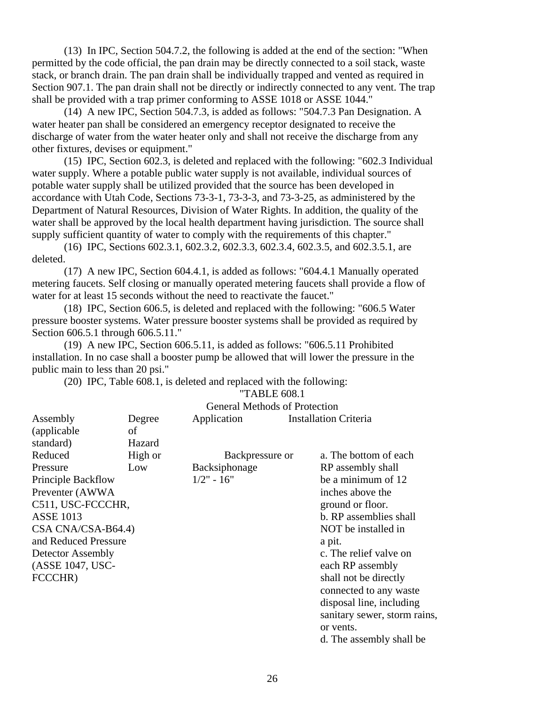(13) In IPC, Section 504.7.2, the following is added at the end of the section: "When permitted by the code official, the pan drain may be directly connected to a soil stack, waste stack, or branch drain. The pan drain shall be individually trapped and vented as required in Section 907.1. The pan drain shall not be directly or indirectly connected to any vent. The trap shall be provided with a trap primer conforming to ASSE 1018 or ASSE 1044."

 (14) A new IPC, Section 504.7.3, is added as follows: "504.7.3 Pan Designation. A water heater pan shall be considered an emergency receptor designated to receive the discharge of water from the water heater only and shall not receive the discharge from any other fixtures, devises or equipment."

 (15) IPC, Section 602.3, is deleted and replaced with the following: "602.3 Individual water supply. Where a potable public water supply is not available, individual sources of potable water supply shall be utilized provided that the source has been developed in accordance with Utah Code, Sections 73-3-1, 73-3-3, and 73-3-25, as administered by the Department of Natural Resources, Division of Water Rights. In addition, the quality of the water shall be approved by the local health department having jurisdiction. The source shall supply sufficient quantity of water to comply with the requirements of this chapter."

 (16) IPC, Sections 602.3.1, 602.3.2, 602.3.3, 602.3.4, 602.3.5, and 602.3.5.1, are deleted.

 (17) A new IPC, Section 604.4.1, is added as follows: "604.4.1 Manually operated metering faucets. Self closing or manually operated metering faucets shall provide a flow of water for at least 15 seconds without the need to reactivate the faucet."

 (18) IPC, Section 606.5, is deleted and replaced with the following: "606.5 Water pressure booster systems. Water pressure booster systems shall be provided as required by Section 606.5.1 through 606.5.11."

 (19) A new IPC, Section 606.5.11, is added as follows: "606.5.11 Prohibited installation. In no case shall a booster pump be allowed that will lower the pressure in the public main to less than 20 psi."

(20) IPC, Table 608.1, is deleted and replaced with the following:

"TABLE 608.1

|                      |         | <b>General Methods of Protection</b> |                              |
|----------------------|---------|--------------------------------------|------------------------------|
| Assembly             | Degree  | Application                          | <b>Installation Criteria</b> |
| (applicable)         | of      |                                      |                              |
| standard)            | Hazard  |                                      |                              |
| Reduced              | High or | Backpressure or                      | a. The bottom of each        |
| Pressure             | Low     | Backsiphonage                        | RP assembly shall            |
| Principle Backflow   |         | $1/2" - 16"$                         | be a minimum of 12           |
| Preventer (AWWA)     |         |                                      | inches above the             |
| C511, USC-FCCCHR,    |         |                                      | ground or floor.             |
| <b>ASSE 1013</b>     |         |                                      | b. RP assemblies shall       |
| CSA CNA/CSA-B64.4)   |         |                                      | NOT be installed in          |
| and Reduced Pressure |         |                                      | a pit.                       |
| Detector Assembly    |         |                                      | c. The relief valve on       |
| (ASSE 1047, USC-     |         |                                      | each RP assembly             |
| FCCCHR)              |         |                                      | shall not be directly        |
|                      |         |                                      | connected to any waste       |
|                      |         |                                      | disposal line, including     |
|                      |         |                                      | sanitary sewer, storm rains, |
|                      |         |                                      | or vents.                    |
|                      |         |                                      | d. The assembly shall be     |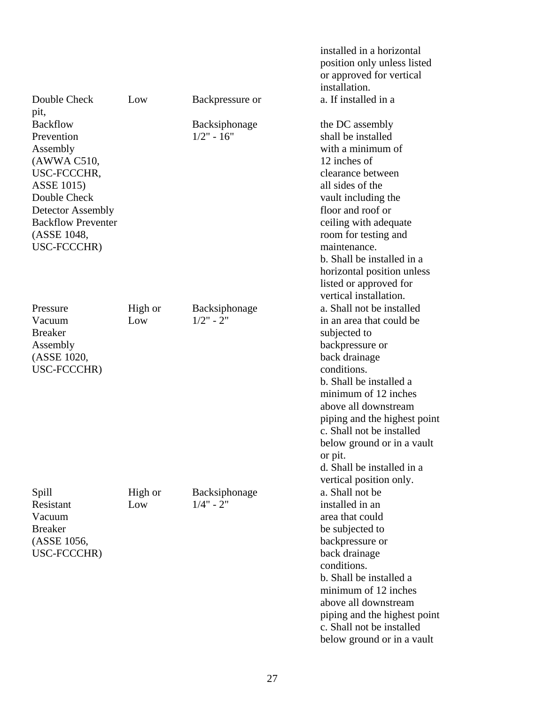|                                                                                                                                                                                  |                |                                  | installed in a horizontal<br>position only unless listed<br>or approved for vertical<br>installation.                                                                                                                                                                                                                                                              |
|----------------------------------------------------------------------------------------------------------------------------------------------------------------------------------|----------------|----------------------------------|--------------------------------------------------------------------------------------------------------------------------------------------------------------------------------------------------------------------------------------------------------------------------------------------------------------------------------------------------------------------|
| Double Check<br>pit,<br><b>Backflow</b>                                                                                                                                          | Low            | Backpressure or<br>Backsiphonage | a. If installed in a<br>the DC assembly                                                                                                                                                                                                                                                                                                                            |
| Prevention<br>Assembly<br>(AWWA C510,<br>USC-FCCCHR,<br><b>ASSE 1015)</b><br>Double Check<br><b>Detector Assembly</b><br><b>Backflow Preventer</b><br>(ASSE 1048,<br>USC-FCCCHR) |                | $1/2" - 16"$                     | shall be installed<br>with a minimum of<br>12 inches of<br>clearance between<br>all sides of the<br>vault including the<br>floor and roof or<br>ceiling with adequate<br>room for testing and<br>maintenance.<br>b. Shall be installed in a<br>horizontal position unless                                                                                          |
|                                                                                                                                                                                  |                |                                  | listed or approved for<br>vertical installation.                                                                                                                                                                                                                                                                                                                   |
| Pressure<br>Vacuum<br><b>Breaker</b><br>Assembly<br>(ASSE 1020,<br>USC-FCCCHR)                                                                                                   | High or<br>Low | Backsiphonage<br>$1/2" - 2"$     | a. Shall not be installed<br>in an area that could be<br>subjected to<br>backpressure or<br>back drainage<br>conditions.<br>b. Shall be installed a<br>minimum of 12 inches<br>above all downstream<br>piping and the highest point<br>c. Shall not be installed<br>below ground or in a vault<br>or pit.<br>d. Shall be installed in a<br>vertical position only. |
| Spill<br>Resistant<br>Vacuum<br><b>Breaker</b><br>(ASSE 1056,<br>USC-FCCCHR)                                                                                                     | High or<br>Low | Backsiphonage<br>$1/4" - 2"$     | a. Shall not be<br>installed in an<br>area that could<br>be subjected to<br>backpressure or<br>back drainage<br>conditions.<br>b. Shall be installed a<br>minimum of 12 inches<br>above all downstream<br>piping and the highest point<br>c. Shall not be installed<br>below ground or in a vault                                                                  |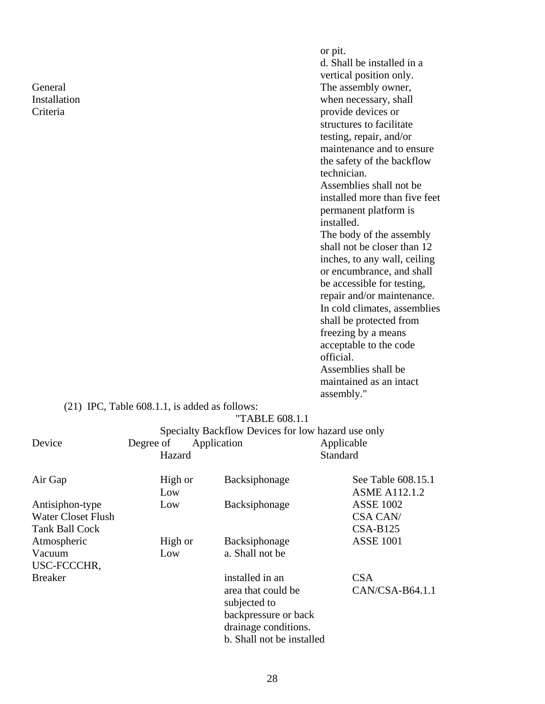| General<br>Installation<br>Criteria | or pit.<br>d. Shall be installed in a<br>vertical position only.<br>The assembly owner,<br>when necessary, shall<br>provide devices or<br>structures to facilitate<br>testing, repair, and/or<br>maintenance and to ensure<br>the safety of the backflow<br>technician.<br>Assemblies shall not be.<br>installed more than five feet<br>permanent platform is<br>installed.<br>The body of the assembly<br>shall not be closer than 12<br>inches, to any wall, ceiling<br>or encumbrance, and shall<br>be accessible for testing,<br>repair and/or maintenance.<br>In cold climates, assemblies<br>shall be protected from |
|-------------------------------------|----------------------------------------------------------------------------------------------------------------------------------------------------------------------------------------------------------------------------------------------------------------------------------------------------------------------------------------------------------------------------------------------------------------------------------------------------------------------------------------------------------------------------------------------------------------------------------------------------------------------------|
|                                     | freezing by a means<br>acceptable to the code                                                                                                                                                                                                                                                                                                                                                                                                                                                                                                                                                                              |
|                                     | official.<br>Assemblies shall be<br>maintained as an intact<br>assembly."                                                                                                                                                                                                                                                                                                                                                                                                                                                                                                                                                  |

(21) IPC, Table 608.1.1, is added as follows:

Installation

# "TABLE 608.1.1

|                                                                       | Specialty Backflow Devices for low hazard use only |                                                                                                                                    |                                            |
|-----------------------------------------------------------------------|----------------------------------------------------|------------------------------------------------------------------------------------------------------------------------------------|--------------------------------------------|
| Device                                                                | Degree of                                          | Application                                                                                                                        | Applicable                                 |
|                                                                       | Hazard                                             |                                                                                                                                    | Standard                                   |
| Air Gap                                                               | High or<br>Low                                     | Backsiphonage                                                                                                                      | See Table 608.15.1<br><b>ASME A112.1.2</b> |
| Antisiphon-type<br><b>Water Closet Flush</b><br><b>Tank Ball Cock</b> | Low                                                | Backsiphonage                                                                                                                      | <b>ASSE 1002</b><br>CSA CAN/<br>$CSA-B125$ |
| Atmospheric<br>Vacuum<br>USC-FCCCHR,                                  | High or<br>Low                                     | Backsiphonage<br>a. Shall not be                                                                                                   | <b>ASSE 1001</b>                           |
| <b>Breaker</b>                                                        |                                                    | installed in an<br>area that could be<br>subjected to<br>backpressure or back<br>drainage conditions.<br>b. Shall not be installed | <b>CSA</b><br>CAN/CSA-B64.1.1              |

# 28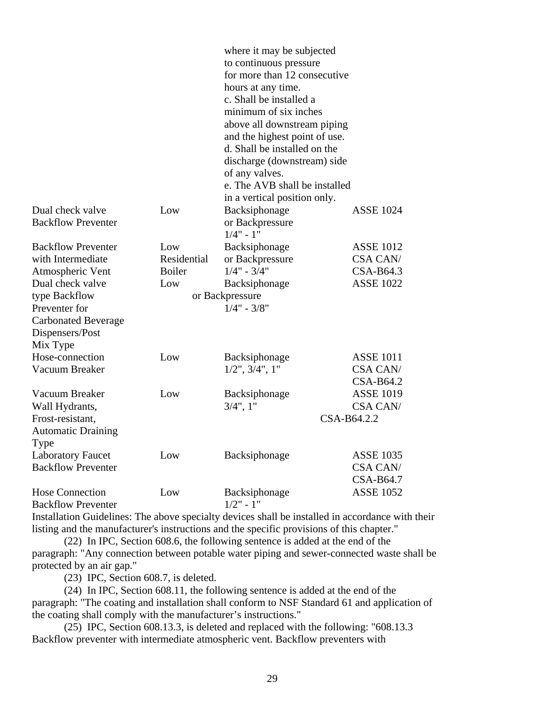|                            |               | where it may be subjected     |                  |
|----------------------------|---------------|-------------------------------|------------------|
|                            |               | to continuous pressure        |                  |
|                            |               | for more than 12 consecutive  |                  |
|                            |               | hours at any time.            |                  |
|                            |               | c. Shall be installed a       |                  |
|                            |               | minimum of six inches         |                  |
|                            |               | above all downstream piping   |                  |
|                            |               | and the highest point of use. |                  |
|                            |               | d. Shall be installed on the  |                  |
|                            |               | discharge (downstream) side   |                  |
|                            |               | of any valves.                |                  |
|                            |               | e. The AVB shall be installed |                  |
|                            |               | in a vertical position only.  |                  |
| Dual check valve           | Low           | Backsiphonage                 | <b>ASSE 1024</b> |
| <b>Backflow Preventer</b>  |               | or Backpressure               |                  |
|                            |               | $1/4" - 1"$                   |                  |
| <b>Backflow Preventer</b>  | Low           | Backsiphonage                 | <b>ASSE 1012</b> |
| with Intermediate          | Residential   | or Backpressure               | CSA CAN/         |
| Atmospheric Vent           | <b>Boiler</b> | $1/4" - 3/4"$                 | $CSA-B64.3$      |
| Dual check valve           | Low           | Backsiphonage                 | <b>ASSE 1022</b> |
| type Backflow              |               | or Backpressure               |                  |
| Preventer for              |               | $1/4" - 3/8"$                 |                  |
| <b>Carbonated Beverage</b> |               |                               |                  |
| Dispensers/Post            |               |                               |                  |
| Mix Type                   |               |                               |                  |
| Hose-connection            | Low           | Backsiphonage                 | <b>ASSE 1011</b> |
| Vacuum Breaker             |               | $1/2$ ", $3/4$ ", $1$ "       | CSA CAN/         |
|                            |               |                               | $CSA-B64.2$      |
| Vacuum Breaker             | Low           | Backsiphonage                 | <b>ASSE 1019</b> |
| Wall Hydrants,             |               | $3/4$ ", 1"                   | CSA CAN/         |
| Frost-resistant,           |               |                               | CSA-B64.2.2      |
| <b>Automatic Draining</b>  |               |                               |                  |
| Type                       |               |                               |                  |
| <b>Laboratory Faucet</b>   | Low           | Backsiphonage                 | <b>ASSE 1035</b> |
| <b>Backflow Preventer</b>  |               |                               | CSA CAN/         |
|                            |               |                               | $CSA-B64.7$      |
| <b>Hose Connection</b>     | Low           | Backsiphonage                 | <b>ASSE 1052</b> |
| <b>Backflow Preventer</b>  |               | $1/2" - 1"$                   |                  |

Installation Guidelines: The above specialty devices shall be installed in accordance with their listing and the manufacturer's instructions and the specific provisions of this chapter."

 (22) In IPC, Section 608.6, the following sentence is added at the end of the paragraph: "Any connection between potable water piping and sewer-connected waste shall be protected by an air gap."

(23) IPC, Section 608.7, is deleted.

 (24) In IPC, Section 608.11, the following sentence is added at the end of the paragraph: "The coating and installation shall conform to NSF Standard 61 and application of the coating shall comply with the manufacturer's instructions."

 (25) IPC, Section 608.13.3, is deleted and replaced with the following: "608.13.3 Backflow preventer with intermediate atmospheric vent. Backflow preventers with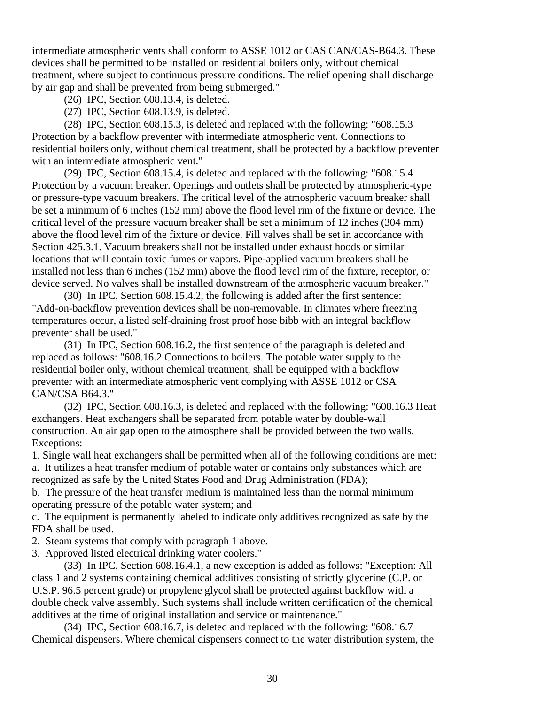intermediate atmospheric vents shall conform to ASSE 1012 or CAS CAN/CAS-B64.3. These devices shall be permitted to be installed on residential boilers only, without chemical treatment, where subject to continuous pressure conditions. The relief opening shall discharge by air gap and shall be prevented from being submerged."

- (26) IPC, Section 608.13.4, is deleted.
- (27) IPC, Section 608.13.9, is deleted.

 (28) IPC, Section 608.15.3, is deleted and replaced with the following: "608.15.3 Protection by a backflow preventer with intermediate atmospheric vent. Connections to residential boilers only, without chemical treatment, shall be protected by a backflow preventer with an intermediate atmospheric vent."

 (29) IPC, Section 608.15.4, is deleted and replaced with the following: "608.15.4 Protection by a vacuum breaker. Openings and outlets shall be protected by atmospheric-type or pressure-type vacuum breakers. The critical level of the atmospheric vacuum breaker shall be set a minimum of 6 inches (152 mm) above the flood level rim of the fixture or device. The critical level of the pressure vacuum breaker shall be set a minimum of 12 inches (304 mm) above the flood level rim of the fixture or device. Fill valves shall be set in accordance with Section 425.3.1. Vacuum breakers shall not be installed under exhaust hoods or similar locations that will contain toxic fumes or vapors. Pipe-applied vacuum breakers shall be installed not less than 6 inches (152 mm) above the flood level rim of the fixture, receptor, or device served. No valves shall be installed downstream of the atmospheric vacuum breaker."

 (30) In IPC, Section 608.15.4.2, the following is added after the first sentence: "Add-on-backflow prevention devices shall be non-removable. In climates where freezing temperatures occur, a listed self-draining frost proof hose bibb with an integral backflow preventer shall be used."

 (31) In IPC, Section 608.16.2, the first sentence of the paragraph is deleted and replaced as follows: "608.16.2 Connections to boilers. The potable water supply to the residential boiler only, without chemical treatment, shall be equipped with a backflow preventer with an intermediate atmospheric vent complying with ASSE 1012 or CSA CAN/CSA B64.3."

 (32) IPC, Section 608.16.3, is deleted and replaced with the following: "608.16.3 Heat exchangers. Heat exchangers shall be separated from potable water by double-wall construction. An air gap open to the atmosphere shall be provided between the two walls. Exceptions:

1. Single wall heat exchangers shall be permitted when all of the following conditions are met: a. It utilizes a heat transfer medium of potable water or contains only substances which are recognized as safe by the United States Food and Drug Administration (FDA);

b. The pressure of the heat transfer medium is maintained less than the normal minimum operating pressure of the potable water system; and

c. The equipment is permanently labeled to indicate only additives recognized as safe by the FDA shall be used.

2. Steam systems that comply with paragraph 1 above.

3. Approved listed electrical drinking water coolers."

 (33) In IPC, Section 608.16.4.1, a new exception is added as follows: "Exception: All class 1 and 2 systems containing chemical additives consisting of strictly glycerine (C.P. or U.S.P. 96.5 percent grade) or propylene glycol shall be protected against backflow with a double check valve assembly. Such systems shall include written certification of the chemical additives at the time of original installation and service or maintenance."

 (34) IPC, Section 608.16.7, is deleted and replaced with the following: "608.16.7 Chemical dispensers. Where chemical dispensers connect to the water distribution system, the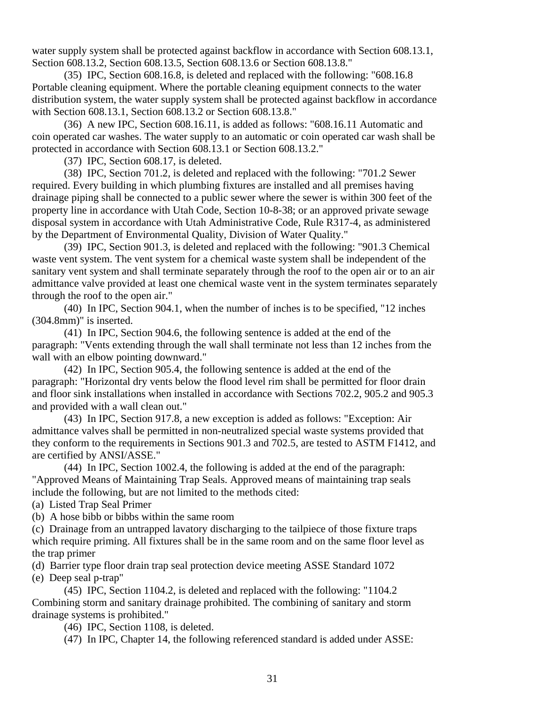water supply system shall be protected against backflow in accordance with Section 608.13.1, Section 608.13.2, Section 608.13.5, Section 608.13.6 or Section 608.13.8."

 (35) IPC, Section 608.16.8, is deleted and replaced with the following: "608.16.8 Portable cleaning equipment. Where the portable cleaning equipment connects to the water distribution system, the water supply system shall be protected against backflow in accordance with Section 608.13.1, Section 608.13.2 or Section 608.13.8."

 (36) A new IPC, Section 608.16.11, is added as follows: "608.16.11 Automatic and coin operated car washes. The water supply to an automatic or coin operated car wash shall be protected in accordance with Section 608.13.1 or Section 608.13.2."

(37) IPC, Section 608.17, is deleted.

 (38) IPC, Section 701.2, is deleted and replaced with the following: "701.2 Sewer required. Every building in which plumbing fixtures are installed and all premises having drainage piping shall be connected to a public sewer where the sewer is within 300 feet of the property line in accordance with Utah Code, Section 10-8-38; or an approved private sewage disposal system in accordance with Utah Administrative Code, Rule R317-4, as administered by the Department of Environmental Quality, Division of Water Quality."

 (39) IPC, Section 901.3, is deleted and replaced with the following: "901.3 Chemical waste vent system. The vent system for a chemical waste system shall be independent of the sanitary vent system and shall terminate separately through the roof to the open air or to an air admittance valve provided at least one chemical waste vent in the system terminates separately through the roof to the open air."

 (40) In IPC, Section 904.1, when the number of inches is to be specified, "12 inches (304.8mm)" is inserted.

 (41) In IPC, Section 904.6, the following sentence is added at the end of the paragraph: "Vents extending through the wall shall terminate not less than 12 inches from the wall with an elbow pointing downward."

 (42) In IPC, Section 905.4, the following sentence is added at the end of the paragraph: "Horizontal dry vents below the flood level rim shall be permitted for floor drain and floor sink installations when installed in accordance with Sections 702.2, 905.2 and 905.3 and provided with a wall clean out."

 (43) In IPC, Section 917.8, a new exception is added as follows: "Exception: Air admittance valves shall be permitted in non-neutralized special waste systems provided that they conform to the requirements in Sections 901.3 and 702.5, are tested to ASTM F1412, and are certified by ANSI/ASSE."

 (44) In IPC, Section 1002.4, the following is added at the end of the paragraph: "Approved Means of Maintaining Trap Seals. Approved means of maintaining trap seals include the following, but are not limited to the methods cited:

- (a) Listed Trap Seal Primer
- (b) A hose bibb or bibbs within the same room

(c) Drainage from an untrapped lavatory discharging to the tailpiece of those fixture traps which require priming. All fixtures shall be in the same room and on the same floor level as the trap primer

(d) Barrier type floor drain trap seal protection device meeting ASSE Standard 1072

(e) Deep seal p-trap"

 (45) IPC, Section 1104.2, is deleted and replaced with the following: "1104.2 Combining storm and sanitary drainage prohibited. The combining of sanitary and storm drainage systems is prohibited."

(46) IPC, Section 1108, is deleted.

(47) In IPC, Chapter 14, the following referenced standard is added under ASSE: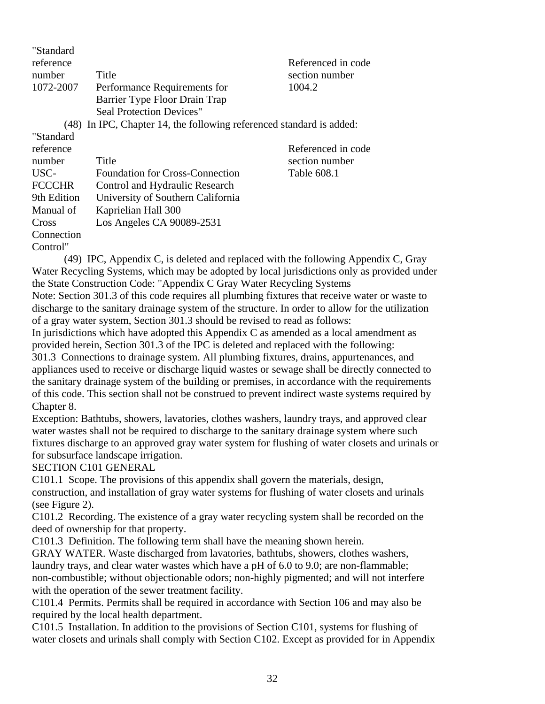| "Standard     |                                                                      |                    |
|---------------|----------------------------------------------------------------------|--------------------|
| reference     |                                                                      | Referenced in code |
| number        | Title                                                                | section number     |
| 1072-2007     | Performance Requirements for                                         | 1004.2             |
|               | Barrier Type Floor Drain Trap                                        |                    |
|               | <b>Seal Protection Devices"</b>                                      |                    |
|               | (48) In IPC, Chapter 14, the following referenced standard is added: |                    |
| "Standard     |                                                                      |                    |
| reference     |                                                                      | Referenced in code |
| number        | Title                                                                | section number     |
| USC-          | <b>Foundation for Cross-Connection</b>                               | Table 608.1        |
| <b>FCCCHR</b> | Control and Hydraulic Research                                       |                    |
| 9th Edition   | University of Southern California                                    |                    |
| Manual of     | Kaprielian Hall 300                                                  |                    |
| Cross         | Los Angeles CA 90089-2531                                            |                    |
| Connection    |                                                                      |                    |
| Control"      |                                                                      |                    |

 (49) IPC, Appendix C, is deleted and replaced with the following Appendix C, Gray Water Recycling Systems, which may be adopted by local jurisdictions only as provided under the State Construction Code: "Appendix C Gray Water Recycling Systems Note: Section 301.3 of this code requires all plumbing fixtures that receive water or waste to

discharge to the sanitary drainage system of the structure. In order to allow for the utilization of a gray water system, Section 301.3 should be revised to read as follows:

In jurisdictions which have adopted this Appendix C as amended as a local amendment as provided herein, Section 301.3 of the IPC is deleted and replaced with the following:

301.3 Connections to drainage system. All plumbing fixtures, drains, appurtenances, and appliances used to receive or discharge liquid wastes or sewage shall be directly connected to the sanitary drainage system of the building or premises, in accordance with the requirements of this code. This section shall not be construed to prevent indirect waste systems required by Chapter 8.

Exception: Bathtubs, showers, lavatories, clothes washers, laundry trays, and approved clear water wastes shall not be required to discharge to the sanitary drainage system where such fixtures discharge to an approved gray water system for flushing of water closets and urinals or for subsurface landscape irrigation.

SECTION C101 GENERAL

C101.1 Scope. The provisions of this appendix shall govern the materials, design, construction, and installation of gray water systems for flushing of water closets and urinals (see Figure 2).

C101.2 Recording. The existence of a gray water recycling system shall be recorded on the deed of ownership for that property.

C101.3 Definition. The following term shall have the meaning shown herein.

GRAY WATER. Waste discharged from lavatories, bathtubs, showers, clothes washers, laundry trays, and clear water wastes which have a pH of 6.0 to 9.0; are non-flammable; non-combustible; without objectionable odors; non-highly pigmented; and will not interfere with the operation of the sewer treatment facility.

C101.4 Permits. Permits shall be required in accordance with Section 106 and may also be required by the local health department.

C101.5 Installation. In addition to the provisions of Section C101, systems for flushing of water closets and urinals shall comply with Section C102. Except as provided for in Appendix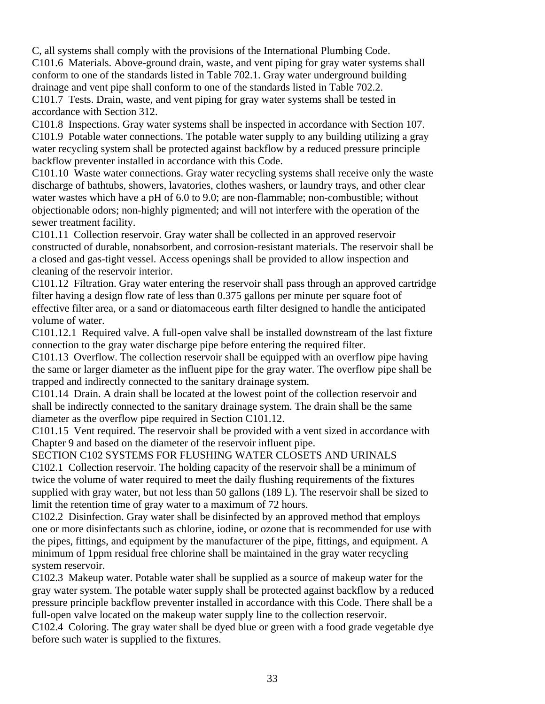C, all systems shall comply with the provisions of the International Plumbing Code. C101.6 Materials. Above-ground drain, waste, and vent piping for gray water systems shall conform to one of the standards listed in Table 702.1. Gray water underground building drainage and vent pipe shall conform to one of the standards listed in Table 702.2. C101.7 Tests. Drain, waste, and vent piping for gray water systems shall be tested in accordance with Section 312.

C101.8 Inspections. Gray water systems shall be inspected in accordance with Section 107. C101.9 Potable water connections. The potable water supply to any building utilizing a gray water recycling system shall be protected against backflow by a reduced pressure principle backflow preventer installed in accordance with this Code.

C101.10 Waste water connections. Gray water recycling systems shall receive only the waste discharge of bathtubs, showers, lavatories, clothes washers, or laundry trays, and other clear water wastes which have a pH of 6.0 to 9.0; are non-flammable; non-combustible; without objectionable odors; non-highly pigmented; and will not interfere with the operation of the sewer treatment facility.

C101.11 Collection reservoir. Gray water shall be collected in an approved reservoir constructed of durable, nonabsorbent, and corrosion-resistant materials. The reservoir shall be a closed and gas-tight vessel. Access openings shall be provided to allow inspection and cleaning of the reservoir interior.

C101.12 Filtration. Gray water entering the reservoir shall pass through an approved cartridge filter having a design flow rate of less than 0.375 gallons per minute per square foot of effective filter area, or a sand or diatomaceous earth filter designed to handle the anticipated volume of water.

C101.12.1 Required valve. A full-open valve shall be installed downstream of the last fixture connection to the gray water discharge pipe before entering the required filter.

C101.13 Overflow. The collection reservoir shall be equipped with an overflow pipe having the same or larger diameter as the influent pipe for the gray water. The overflow pipe shall be trapped and indirectly connected to the sanitary drainage system.

C101.14 Drain. A drain shall be located at the lowest point of the collection reservoir and shall be indirectly connected to the sanitary drainage system. The drain shall be the same diameter as the overflow pipe required in Section C101.12.

C101.15 Vent required. The reservoir shall be provided with a vent sized in accordance with Chapter 9 and based on the diameter of the reservoir influent pipe.

SECTION C102 SYSTEMS FOR FLUSHING WATER CLOSETS AND URINALS

C102.1 Collection reservoir. The holding capacity of the reservoir shall be a minimum of twice the volume of water required to meet the daily flushing requirements of the fixtures supplied with gray water, but not less than 50 gallons (189 L). The reservoir shall be sized to limit the retention time of gray water to a maximum of 72 hours.

C102.2 Disinfection. Gray water shall be disinfected by an approved method that employs one or more disinfectants such as chlorine, iodine, or ozone that is recommended for use with the pipes, fittings, and equipment by the manufacturer of the pipe, fittings, and equipment. A minimum of 1ppm residual free chlorine shall be maintained in the gray water recycling system reservoir.

C102.3 Makeup water. Potable water shall be supplied as a source of makeup water for the gray water system. The potable water supply shall be protected against backflow by a reduced pressure principle backflow preventer installed in accordance with this Code. There shall be a full-open valve located on the makeup water supply line to the collection reservoir.

C102.4 Coloring. The gray water shall be dyed blue or green with a food grade vegetable dye before such water is supplied to the fixtures.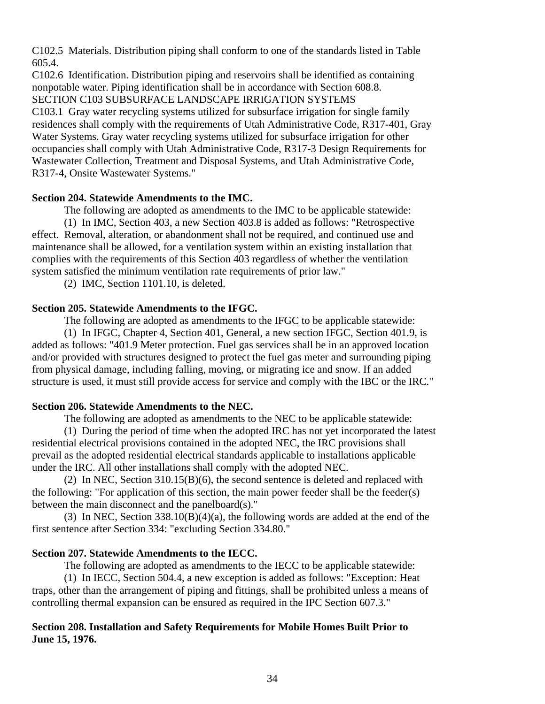C102.5 Materials. Distribution piping shall conform to one of the standards listed in Table 605.4.

C102.6 Identification. Distribution piping and reservoirs shall be identified as containing nonpotable water. Piping identification shall be in accordance with Section 608.8. SECTION C103 SUBSURFACE LANDSCAPE IRRIGATION SYSTEMS C103.1 Gray water recycling systems utilized for subsurface irrigation for single family residences shall comply with the requirements of Utah Administrative Code, R317-401, Gray Water Systems. Gray water recycling systems utilized for subsurface irrigation for other occupancies shall comply with Utah Administrative Code, R317-3 Design Requirements for Wastewater Collection, Treatment and Disposal Systems, and Utah Administrative Code, R317-4, Onsite Wastewater Systems."

# **Section 204. Statewide Amendments to the IMC.**

The following are adopted as amendments to the IMC to be applicable statewide:

 (1) In IMC, Section 403, a new Section 403.8 is added as follows: "Retrospective effect. Removal, alteration, or abandonment shall not be required, and continued use and maintenance shall be allowed, for a ventilation system within an existing installation that complies with the requirements of this Section 403 regardless of whether the ventilation system satisfied the minimum ventilation rate requirements of prior law."

(2) IMC, Section 1101.10, is deleted.

## **Section 205. Statewide Amendments to the IFGC.**

The following are adopted as amendments to the IFGC to be applicable statewide:

 (1) In IFGC, Chapter 4, Section 401, General, a new section IFGC, Section 401.9, is added as follows: "401.9 Meter protection. Fuel gas services shall be in an approved location and/or provided with structures designed to protect the fuel gas meter and surrounding piping from physical damage, including falling, moving, or migrating ice and snow. If an added structure is used, it must still provide access for service and comply with the IBC or the IRC."

#### **Section 206. Statewide Amendments to the NEC.**

The following are adopted as amendments to the NEC to be applicable statewide:

 (1) During the period of time when the adopted IRC has not yet incorporated the latest residential electrical provisions contained in the adopted NEC, the IRC provisions shall prevail as the adopted residential electrical standards applicable to installations applicable under the IRC. All other installations shall comply with the adopted NEC.

 (2) In NEC, Section 310.15(B)(6), the second sentence is deleted and replaced with the following: "For application of this section, the main power feeder shall be the feeder(s) between the main disconnect and the panelboard(s)."

 (3) In NEC, Section 338.10(B)(4)(a), the following words are added at the end of the first sentence after Section 334: "excluding Section 334.80."

# **Section 207. Statewide Amendments to the IECC.**

The following are adopted as amendments to the IECC to be applicable statewide:

 (1) In IECC, Section 504.4, a new exception is added as follows: "Exception: Heat traps, other than the arrangement of piping and fittings, shall be prohibited unless a means of controlling thermal expansion can be ensured as required in the IPC Section 607.3."

## **Section 208. Installation and Safety Requirements for Mobile Homes Built Prior to June 15, 1976.**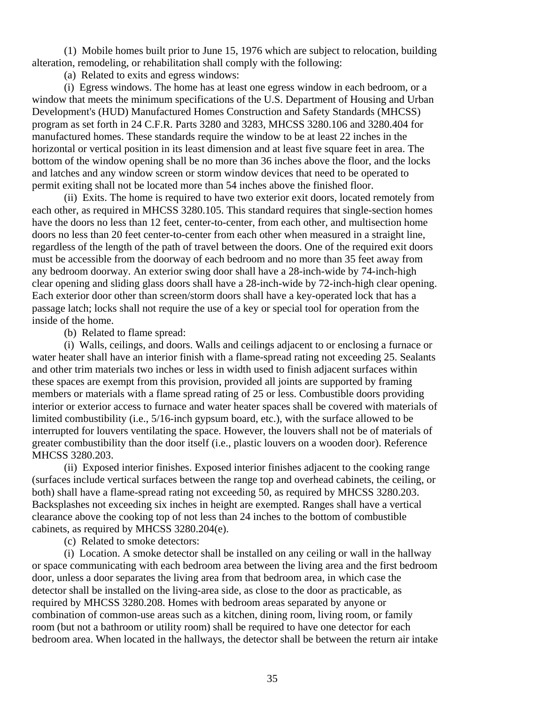(1) Mobile homes built prior to June 15, 1976 which are subject to relocation, building alteration, remodeling, or rehabilitation shall comply with the following:

(a) Related to exits and egress windows:

 (i) Egress windows. The home has at least one egress window in each bedroom, or a window that meets the minimum specifications of the U.S. Department of Housing and Urban Development's (HUD) Manufactured Homes Construction and Safety Standards (MHCSS) program as set forth in 24 C.F.R. Parts 3280 and 3283, MHCSS 3280.106 and 3280.404 for manufactured homes. These standards require the window to be at least 22 inches in the horizontal or vertical position in its least dimension and at least five square feet in area. The bottom of the window opening shall be no more than 36 inches above the floor, and the locks and latches and any window screen or storm window devices that need to be operated to permit exiting shall not be located more than 54 inches above the finished floor.

 (ii) Exits. The home is required to have two exterior exit doors, located remotely from each other, as required in MHCSS 3280.105. This standard requires that single-section homes have the doors no less than 12 feet, center-to-center, from each other, and multisection home doors no less than 20 feet center-to-center from each other when measured in a straight line, regardless of the length of the path of travel between the doors. One of the required exit doors must be accessible from the doorway of each bedroom and no more than 35 feet away from any bedroom doorway. An exterior swing door shall have a 28-inch-wide by 74-inch-high clear opening and sliding glass doors shall have a 28-inch-wide by 72-inch-high clear opening. Each exterior door other than screen/storm doors shall have a key-operated lock that has a passage latch; locks shall not require the use of a key or special tool for operation from the inside of the home.

(b) Related to flame spread:

 (i) Walls, ceilings, and doors. Walls and ceilings adjacent to or enclosing a furnace or water heater shall have an interior finish with a flame-spread rating not exceeding 25. Sealants and other trim materials two inches or less in width used to finish adjacent surfaces within these spaces are exempt from this provision, provided all joints are supported by framing members or materials with a flame spread rating of 25 or less. Combustible doors providing interior or exterior access to furnace and water heater spaces shall be covered with materials of limited combustibility (i.e., 5/16-inch gypsum board, etc.), with the surface allowed to be interrupted for louvers ventilating the space. However, the louvers shall not be of materials of greater combustibility than the door itself (i.e., plastic louvers on a wooden door). Reference MHCSS 3280.203.

 (ii) Exposed interior finishes. Exposed interior finishes adjacent to the cooking range (surfaces include vertical surfaces between the range top and overhead cabinets, the ceiling, or both) shall have a flame-spread rating not exceeding 50, as required by MHCSS 3280.203. Backsplashes not exceeding six inches in height are exempted. Ranges shall have a vertical clearance above the cooking top of not less than 24 inches to the bottom of combustible cabinets, as required by MHCSS 3280.204(e).

(c) Related to smoke detectors:

 (i) Location. A smoke detector shall be installed on any ceiling or wall in the hallway or space communicating with each bedroom area between the living area and the first bedroom door, unless a door separates the living area from that bedroom area, in which case the detector shall be installed on the living-area side, as close to the door as practicable, as required by MHCSS 3280.208. Homes with bedroom areas separated by anyone or combination of common-use areas such as a kitchen, dining room, living room, or family room (but not a bathroom or utility room) shall be required to have one detector for each bedroom area. When located in the hallways, the detector shall be between the return air intake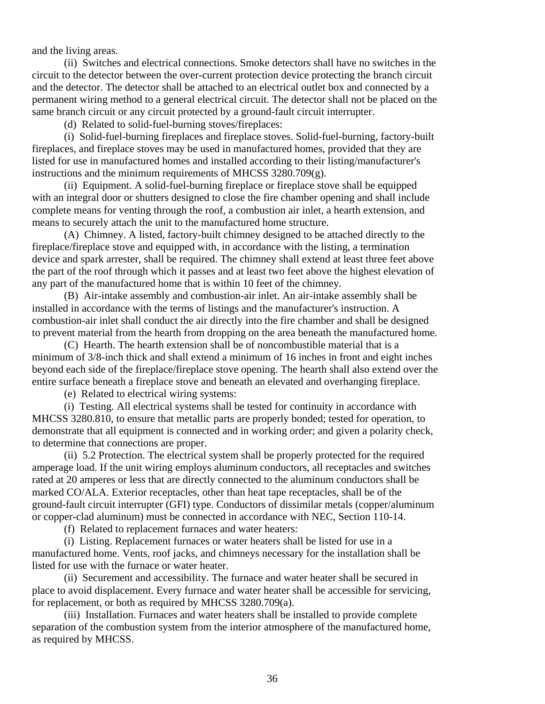and the living areas.

 (ii) Switches and electrical connections. Smoke detectors shall have no switches in the circuit to the detector between the over-current protection device protecting the branch circuit and the detector. The detector shall be attached to an electrical outlet box and connected by a permanent wiring method to a general electrical circuit. The detector shall not be placed on the same branch circuit or any circuit protected by a ground-fault circuit interrupter.

(d) Related to solid-fuel-burning stoves/fireplaces:

 (i) Solid-fuel-burning fireplaces and fireplace stoves. Solid-fuel-burning, factory-built fireplaces, and fireplace stoves may be used in manufactured homes, provided that they are listed for use in manufactured homes and installed according to their listing/manufacturer's instructions and the minimum requirements of MHCSS  $3280.709(g)$ .

 (ii) Equipment. A solid-fuel-burning fireplace or fireplace stove shall be equipped with an integral door or shutters designed to close the fire chamber opening and shall include complete means for venting through the roof, a combustion air inlet, a hearth extension, and means to securely attach the unit to the manufactured home structure.

 (A) Chimney. A listed, factory-built chimney designed to be attached directly to the fireplace/fireplace stove and equipped with, in accordance with the listing, a termination device and spark arrester, shall be required. The chimney shall extend at least three feet above the part of the roof through which it passes and at least two feet above the highest elevation of any part of the manufactured home that is within 10 feet of the chimney.

 (B) Air-intake assembly and combustion-air inlet. An air-intake assembly shall be installed in accordance with the terms of listings and the manufacturer's instruction. A combustion-air inlet shall conduct the air directly into the fire chamber and shall be designed to prevent material from the hearth from dropping on the area beneath the manufactured home.

 (C) Hearth. The hearth extension shall be of noncombustible material that is a minimum of 3/8-inch thick and shall extend a minimum of 16 inches in front and eight inches beyond each side of the fireplace/fireplace stove opening. The hearth shall also extend over the entire surface beneath a fireplace stove and beneath an elevated and overhanging fireplace.

(e) Related to electrical wiring systems:

 (i) Testing. All electrical systems shall be tested for continuity in accordance with MHCSS 3280.810, to ensure that metallic parts are properly bonded; tested for operation, to demonstrate that all equipment is connected and in working order; and given a polarity check, to determine that connections are proper.

 (ii) 5.2 Protection. The electrical system shall be properly protected for the required amperage load. If the unit wiring employs aluminum conductors, all receptacles and switches rated at 20 amperes or less that are directly connected to the aluminum conductors shall be marked CO/ALA. Exterior receptacles, other than heat tape receptacles, shall be of the ground-fault circuit interrupter (GFI) type. Conductors of dissimilar metals (copper/aluminum or copper-clad aluminum) must be connected in accordance with NEC, Section 110-14.

(f) Related to replacement furnaces and water heaters:

 (i) Listing. Replacement furnaces or water heaters shall be listed for use in a manufactured home. Vents, roof jacks, and chimneys necessary for the installation shall be listed for use with the furnace or water heater.

 (ii) Securement and accessibility. The furnace and water heater shall be secured in place to avoid displacement. Every furnace and water heater shall be accessible for servicing, for replacement, or both as required by MHCSS 3280.709(a).

 (iii) Installation. Furnaces and water heaters shall be installed to provide complete separation of the combustion system from the interior atmosphere of the manufactured home, as required by MHCSS.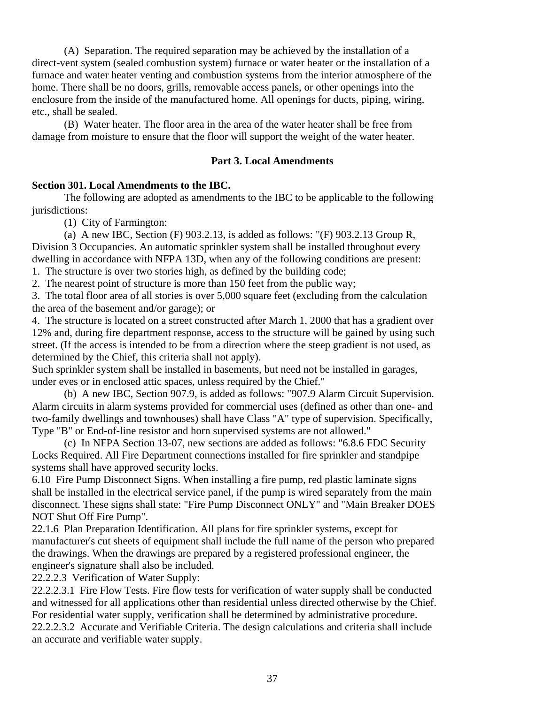(A) Separation. The required separation may be achieved by the installation of a direct-vent system (sealed combustion system) furnace or water heater or the installation of a furnace and water heater venting and combustion systems from the interior atmosphere of the home. There shall be no doors, grills, removable access panels, or other openings into the enclosure from the inside of the manufactured home. All openings for ducts, piping, wiring, etc., shall be sealed.

 (B) Water heater. The floor area in the area of the water heater shall be free from damage from moisture to ensure that the floor will support the weight of the water heater.

## **Part 3. Local Amendments**

#### **Section 301. Local Amendments to the IBC.**

 The following are adopted as amendments to the IBC to be applicable to the following jurisdictions:

(1) City of Farmington:

 (a) A new IBC, Section (F) 903.2.13, is added as follows: "(F) 903.2.13 Group R, Division 3 Occupancies. An automatic sprinkler system shall be installed throughout every dwelling in accordance with NFPA 13D, when any of the following conditions are present:

1. The structure is over two stories high, as defined by the building code;

2. The nearest point of structure is more than 150 feet from the public way;

3. The total floor area of all stories is over 5,000 square feet (excluding from the calculation the area of the basement and/or garage); or

4. The structure is located on a street constructed after March 1, 2000 that has a gradient over 12% and, during fire department response, access to the structure will be gained by using such street. (If the access is intended to be from a direction where the steep gradient is not used, as determined by the Chief, this criteria shall not apply).

Such sprinkler system shall be installed in basements, but need not be installed in garages, under eves or in enclosed attic spaces, unless required by the Chief."

 (b) A new IBC, Section 907.9, is added as follows: "907.9 Alarm Circuit Supervision. Alarm circuits in alarm systems provided for commercial uses (defined as other than one- and two-family dwellings and townhouses) shall have Class "A" type of supervision. Specifically, Type "B" or End-of-line resistor and horn supervised systems are not allowed."

 (c) In NFPA Section 13-07, new sections are added as follows: "6.8.6 FDC Security Locks Required. All Fire Department connections installed for fire sprinkler and standpipe systems shall have approved security locks.

6.10 Fire Pump Disconnect Signs. When installing a fire pump, red plastic laminate signs shall be installed in the electrical service panel, if the pump is wired separately from the main disconnect. These signs shall state: "Fire Pump Disconnect ONLY" and "Main Breaker DOES NOT Shut Off Fire Pump".

22.1.6 Plan Preparation Identification. All plans for fire sprinkler systems, except for manufacturer's cut sheets of equipment shall include the full name of the person who prepared the drawings. When the drawings are prepared by a registered professional engineer, the engineer's signature shall also be included.

22.2.2.3 Verification of Water Supply:

22.2.2.3.1 Fire Flow Tests. Fire flow tests for verification of water supply shall be conducted and witnessed for all applications other than residential unless directed otherwise by the Chief. For residential water supply, verification shall be determined by administrative procedure. 22.2.2.3.2 Accurate and Verifiable Criteria. The design calculations and criteria shall include an accurate and verifiable water supply.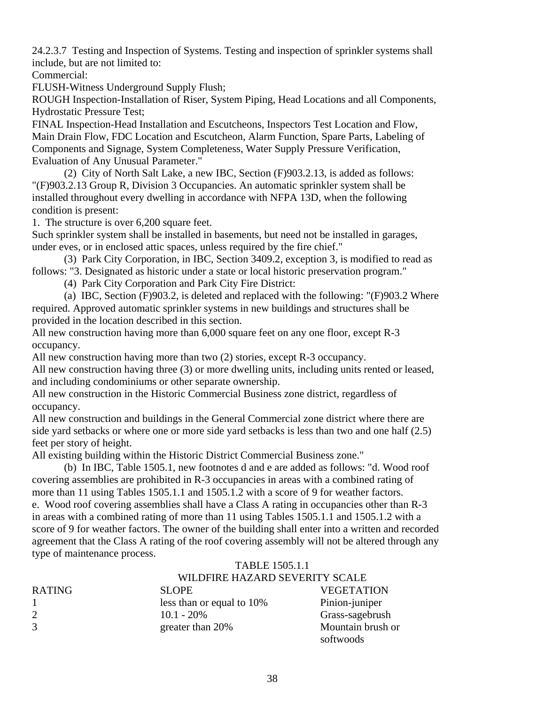24.2.3.7 Testing and Inspection of Systems. Testing and inspection of sprinkler systems shall include, but are not limited to:

Commercial:

FLUSH-Witness Underground Supply Flush;

ROUGH Inspection-Installation of Riser, System Piping, Head Locations and all Components, Hydrostatic Pressure Test;

FINAL Inspection-Head Installation and Escutcheons, Inspectors Test Location and Flow, Main Drain Flow, FDC Location and Escutcheon, Alarm Function, Spare Parts, Labeling of Components and Signage, System Completeness, Water Supply Pressure Verification, Evaluation of Any Unusual Parameter."

 (2) City of North Salt Lake, a new IBC, Section (F)903.2.13, is added as follows: "(F)903.2.13 Group R, Division 3 Occupancies. An automatic sprinkler system shall be installed throughout every dwelling in accordance with NFPA 13D, when the following condition is present:

1. The structure is over 6,200 square feet.

Such sprinkler system shall be installed in basements, but need not be installed in garages, under eves, or in enclosed attic spaces, unless required by the fire chief."

 (3) Park City Corporation, in IBC, Section 3409.2, exception 3, is modified to read as follows: "3. Designated as historic under a state or local historic preservation program."

(4) Park City Corporation and Park City Fire District:

 (a) IBC, Section (F)903.2, is deleted and replaced with the following: "(F)903.2 Where required. Approved automatic sprinkler systems in new buildings and structures shall be provided in the location described in this section.

All new construction having more than 6,000 square feet on any one floor, except R-3 occupancy.

All new construction having more than two (2) stories, except R-3 occupancy.

All new construction having three (3) or more dwelling units, including units rented or leased, and including condominiums or other separate ownership.

All new construction in the Historic Commercial Business zone district, regardless of occupancy.

All new construction and buildings in the General Commercial zone district where there are side yard setbacks or where one or more side yard setbacks is less than two and one half (2.5) feet per story of height.

All existing building within the Historic District Commercial Business zone."

 (b) In IBC, Table 1505.1, new footnotes d and e are added as follows: "d. Wood roof covering assemblies are prohibited in R-3 occupancies in areas with a combined rating of more than 11 using Tables 1505.1.1 and 1505.1.2 with a score of 9 for weather factors. e. Wood roof covering assemblies shall have a Class A rating in occupancies other than R-3 in areas with a combined rating of more than 11 using Tables 1505.1.1 and 1505.1.2 with a score of 9 for weather factors. The owner of the building shall enter into a written and recorded agreement that the Class A rating of the roof covering assembly will not be altered through any type of maintenance process.

#### TABLE 1505.1.1

|               | WILDFIRE HAZARD SEVERITY SCALE |                   |  |
|---------------|--------------------------------|-------------------|--|
| <b>RATING</b> | <b>SLOPE</b>                   | <b>VEGETATION</b> |  |
|               | less than or equal to 10%      | Pinion-juniper    |  |
|               | $10.1 - 20\%$                  | Grass-sagebrush   |  |
| 3             | greater than 20%               | Mountain brush or |  |
|               |                                | softwoods         |  |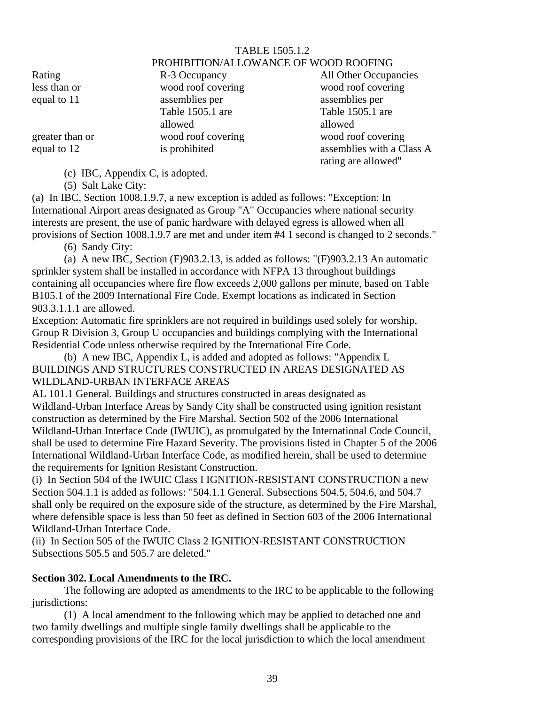## TABLE 1505.1.2 PROHIBITION/ALLOWANCE OF WOOD ROOFING Rating R-3 Occupancy All Other Occupancies less than or wood roof covering wood roof covering equal to 11 assemblies per assemblies per Table 1505.1 are Table 1505.1 are allowed allowed allowed greater than or wood roof covering wood roof covering equal to 12 is prohibited assemblies with a Class A

(c) IBC, Appendix C, is adopted.

(5) Salt Lake City:

(a) In IBC, Section 1008.1.9.7, a new exception is added as follows: "Exception: In International Airport areas designated as Group "A" Occupancies where national security interests are present, the use of panic hardware with delayed egress is allowed when all provisions of Section 1008.1.9.7 are met and under item #4 1 second is changed to 2 seconds."

rating are allowed"

(6) Sandy City:

 (a) A new IBC, Section (F)903.2.13, is added as follows: "(F)903.2.13 An automatic sprinkler system shall be installed in accordance with NFPA 13 throughout buildings containing all occupancies where fire flow exceeds 2,000 gallons per minute, based on Table B105.1 of the 2009 International Fire Code. Exempt locations as indicated in Section 903.3.1.1.1 are allowed.

Exception: Automatic fire sprinklers are not required in buildings used solely for worship, Group R Division 3, Group U occupancies and buildings complying with the International Residential Code unless otherwise required by the International Fire Code.

 (b) A new IBC, Appendix L, is added and adopted as follows: "Appendix L BUILDINGS AND STRUCTURES CONSTRUCTED IN AREAS DESIGNATED AS WILDLAND-URBAN INTERFACE AREAS

AL 101.1 General. Buildings and structures constructed in areas designated as Wildland-Urban Interface Areas by Sandy City shall be constructed using ignition resistant construction as determined by the Fire Marshal. Section 502 of the 2006 International Wildland-Urban Interface Code (IWUIC), as promulgated by the International Code Council, shall be used to determine Fire Hazard Severity. The provisions listed in Chapter 5 of the 2006 International Wildland-Urban Interface Code, as modified herein, shall be used to determine the requirements for Ignition Resistant Construction.

(i) In Section 504 of the IWUIC Class I IGNITION-RESISTANT CONSTRUCTION a new Section 504.1.1 is added as follows: "504.1.1 General. Subsections 504.5, 504.6, and 504.7 shall only be required on the exposure side of the structure, as determined by the Fire Marshal, where defensible space is less than 50 feet as defined in Section 603 of the 2006 International Wildland-Urban Interface Code.

(ii) In Section 505 of the IWUIC Class 2 IGNITION-RESISTANT CONSTRUCTION Subsections 505.5 and 505.7 are deleted."

# **Section 302. Local Amendments to the IRC.**

 The following are adopted as amendments to the IRC to be applicable to the following jurisdictions:

 (1) A local amendment to the following which may be applied to detached one and two family dwellings and multiple single family dwellings shall be applicable to the corresponding provisions of the IRC for the local jurisdiction to which the local amendment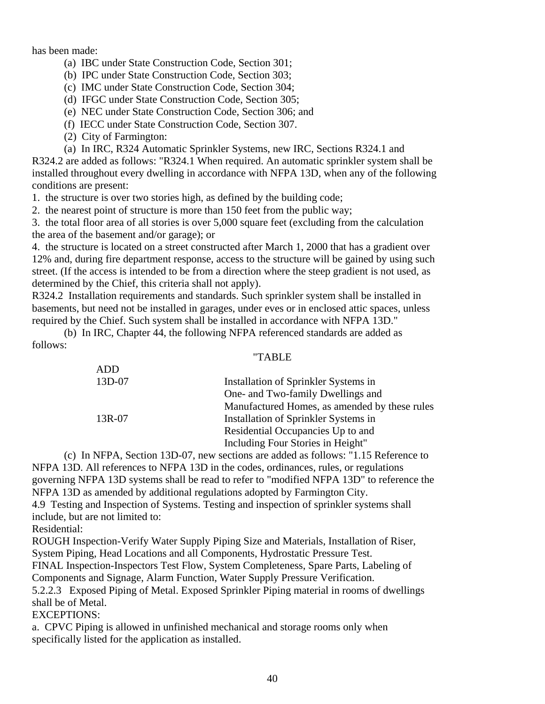has been made:

(a) IBC under State Construction Code, Section 301;

(b) IPC under State Construction Code, Section 303;

(c) IMC under State Construction Code, Section 304;

(d) IFGC under State Construction Code, Section 305;

(e) NEC under State Construction Code, Section 306; and

(f) IECC under State Construction Code, Section 307.

(2) City of Farmington:

ADD

(a) In IRC, R324 Automatic Sprinkler Systems, new IRC, Sections R324.1 and

R324.2 are added as follows: "R324.1 When required. An automatic sprinkler system shall be installed throughout every dwelling in accordance with NFPA 13D, when any of the following conditions are present:

1. the structure is over two stories high, as defined by the building code;

2. the nearest point of structure is more than 150 feet from the public way;

3. the total floor area of all stories is over 5,000 square feet (excluding from the calculation the area of the basement and/or garage); or

4. the structure is located on a street constructed after March 1, 2000 that has a gradient over 12% and, during fire department response, access to the structure will be gained by using such street. (If the access is intended to be from a direction where the steep gradient is not used, as determined by the Chief, this criteria shall not apply).

R324.2 Installation requirements and standards. Such sprinkler system shall be installed in basements, but need not be installed in garages, under eves or in enclosed attic spaces, unless required by the Chief. Such system shall be installed in accordance with NFPA 13D."

 (b) In IRC, Chapter 44, the following NFPA referenced standards are added as follows:

#### "TABLE

| ,,,,,, |                                               |
|--------|-----------------------------------------------|
| 13D-07 | Installation of Sprinkler Systems in          |
|        | One- and Two-family Dwellings and             |
|        | Manufactured Homes, as amended by these rules |
| 13R-07 | Installation of Sprinkler Systems in          |
|        | Residential Occupancies Up to and             |
|        | Including Four Stories in Height"             |
|        |                                               |

 (c) In NFPA, Section 13D-07, new sections are added as follows: "1.15 Reference to NFPA 13D. All references to NFPA 13D in the codes, ordinances, rules, or regulations governing NFPA 13D systems shall be read to refer to "modified NFPA 13D" to reference the NFPA 13D as amended by additional regulations adopted by Farmington City. 4.9 Testing and Inspection of Systems. Testing and inspection of sprinkler systems shall

include, but are not limited to:

Residential:

ROUGH Inspection-Verify Water Supply Piping Size and Materials, Installation of Riser, System Piping, Head Locations and all Components, Hydrostatic Pressure Test. FINAL Inspection-Inspectors Test Flow, System Completeness, Spare Parts, Labeling of

Components and Signage, Alarm Function, Water Supply Pressure Verification.

5.2.2.3 Exposed Piping of Metal. Exposed Sprinkler Piping material in rooms of dwellings shall be of Metal.

EXCEPTIONS:

a. CPVC Piping is allowed in unfinished mechanical and storage rooms only when specifically listed for the application as installed.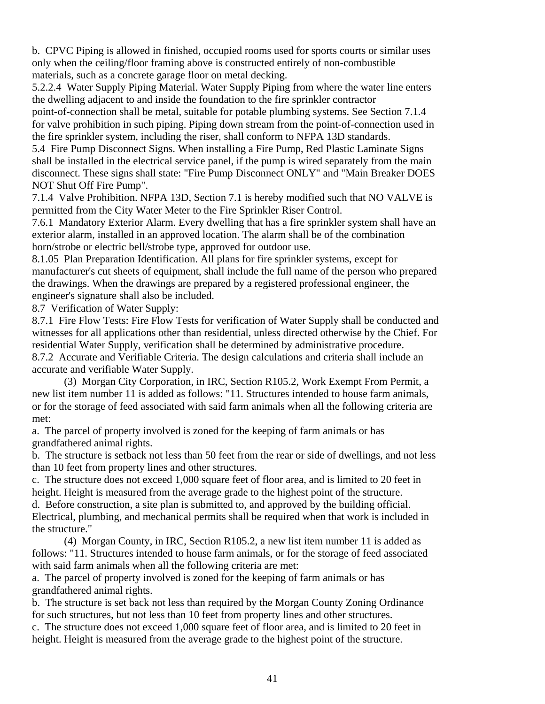b. CPVC Piping is allowed in finished, occupied rooms used for sports courts or similar uses only when the ceiling/floor framing above is constructed entirely of non-combustible materials, such as a concrete garage floor on metal decking.

5.2.2.4 Water Supply Piping Material. Water Supply Piping from where the water line enters the dwelling adjacent to and inside the foundation to the fire sprinkler contractor

point-of-connection shall be metal, suitable for potable plumbing systems. See Section 7.1.4 for valve prohibition in such piping. Piping down stream from the point-of-connection used in the fire sprinkler system, including the riser, shall conform to NFPA 13D standards.

5.4 Fire Pump Disconnect Signs. When installing a Fire Pump, Red Plastic Laminate Signs shall be installed in the electrical service panel, if the pump is wired separately from the main disconnect. These signs shall state: "Fire Pump Disconnect ONLY" and "Main Breaker DOES NOT Shut Off Fire Pump".

7.1.4 Valve Prohibition. NFPA 13D, Section 7.1 is hereby modified such that NO VALVE is permitted from the City Water Meter to the Fire Sprinkler Riser Control.

7.6.1 Mandatory Exterior Alarm. Every dwelling that has a fire sprinkler system shall have an exterior alarm, installed in an approved location. The alarm shall be of the combination horn/strobe or electric bell/strobe type, approved for outdoor use.

8.1.05 Plan Preparation Identification. All plans for fire sprinkler systems, except for manufacturer's cut sheets of equipment, shall include the full name of the person who prepared the drawings. When the drawings are prepared by a registered professional engineer, the engineer's signature shall also be included.

8.7 Verification of Water Supply:

8.7.1 Fire Flow Tests: Fire Flow Tests for verification of Water Supply shall be conducted and witnesses for all applications other than residential, unless directed otherwise by the Chief. For residential Water Supply, verification shall be determined by administrative procedure. 8.7.2 Accurate and Verifiable Criteria. The design calculations and criteria shall include an accurate and verifiable Water Supply.

 (3) Morgan City Corporation, in IRC, Section R105.2, Work Exempt From Permit, a new list item number 11 is added as follows: "11. Structures intended to house farm animals, or for the storage of feed associated with said farm animals when all the following criteria are met:

a. The parcel of property involved is zoned for the keeping of farm animals or has grandfathered animal rights.

b. The structure is setback not less than 50 feet from the rear or side of dwellings, and not less than 10 feet from property lines and other structures.

c. The structure does not exceed 1,000 square feet of floor area, and is limited to 20 feet in height. Height is measured from the average grade to the highest point of the structure.

d. Before construction, a site plan is submitted to, and approved by the building official. Electrical, plumbing, and mechanical permits shall be required when that work is included in the structure."

 (4) Morgan County, in IRC, Section R105.2, a new list item number 11 is added as follows: "11. Structures intended to house farm animals, or for the storage of feed associated with said farm animals when all the following criteria are met:

a. The parcel of property involved is zoned for the keeping of farm animals or has grandfathered animal rights.

b. The structure is set back not less than required by the Morgan County Zoning Ordinance for such structures, but not less than 10 feet from property lines and other structures.

c. The structure does not exceed 1,000 square feet of floor area, and is limited to 20 feet in height. Height is measured from the average grade to the highest point of the structure.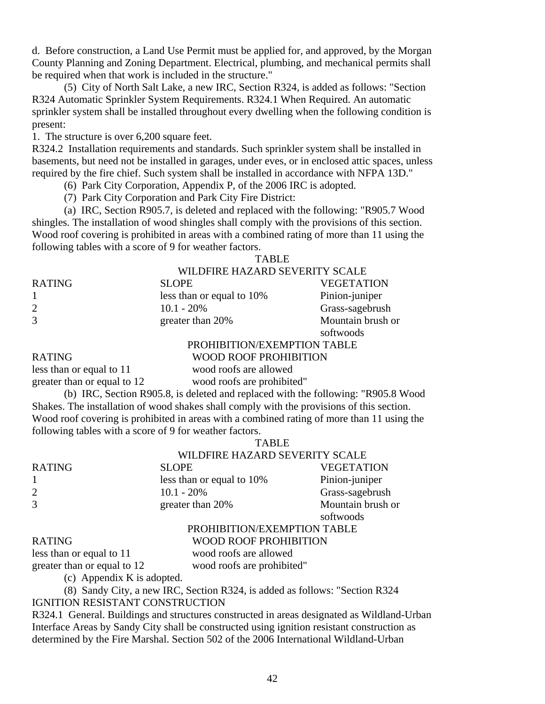d. Before construction, a Land Use Permit must be applied for, and approved, by the Morgan County Planning and Zoning Department. Electrical, plumbing, and mechanical permits shall be required when that work is included in the structure."

 (5) City of North Salt Lake, a new IRC, Section R324, is added as follows: "Section R324 Automatic Sprinkler System Requirements. R324.1 When Required. An automatic sprinkler system shall be installed throughout every dwelling when the following condition is present:

1. The structure is over 6,200 square feet.

R324.2 Installation requirements and standards. Such sprinkler system shall be installed in basements, but need not be installed in garages, under eves, or in enclosed attic spaces, unless required by the fire chief. Such system shall be installed in accordance with NFPA 13D."

(6) Park City Corporation, Appendix P, of the 2006 IRC is adopted.

(7) Park City Corporation and Park City Fire District:

 (a) IRC, Section R905.7, is deleted and replaced with the following: "R905.7 Wood shingles. The installation of wood shingles shall comply with the provisions of this section. Wood roof covering is prohibited in areas with a combined rating of more than 11 using the following tables with a score of 9 for weather factors.

| <b>TARLE</b><br>- 1 |
|---------------------|
|                     |

|               | WILDFIRE HAZARD SEVERITY SCALE |                   |  |
|---------------|--------------------------------|-------------------|--|
| <b>RATING</b> | <b>SLOPE</b>                   | <b>VEGETATION</b> |  |
|               | less than or equal to 10%      | Pinion-juniper    |  |
| 2             | $10.1 - 20\%$                  | Grass-sagebrush   |  |
| 3             | greater than 20%               | Mountain brush or |  |
|               |                                | softwoods         |  |

#### PROHIBITION/EXEMPTION TABLE

RATING WOOD ROOF PROHIBITION

less than or equal to 11 wood roofs are allowed

greater than or equal to 12 wood roofs are prohibited"

 (b) IRC, Section R905.8, is deleted and replaced with the following: "R905.8 Wood Shakes. The installation of wood shakes shall comply with the provisions of this section. Wood roof covering is prohibited in areas with a combined rating of more than 11 using the following tables with a score of 9 for weather factors.

| <b>RATING</b> | WILDFIRE HAZARD SEVERITY SCALE |                                |  |
|---------------|--------------------------------|--------------------------------|--|
|               | <b>SLOPE</b>                   | <b>VEGETATION</b>              |  |
|               | less than or equal to 10%      | Pinion-juniper                 |  |
| 2             | $10.1 - 20\%$                  | Grass-sagebrush                |  |
| 3             | greater than 20%               | Mountain brush or<br>softwoods |  |

# PROHIBITION/EXEMPTION TABLE

TABLE

RATING WOOD ROOF PROHIBITION

# less than or equal to 11 wood roofs are allowed

greater than or equal to 12 wood roofs are prohibited"

(c) Appendix K is adopted.

 (8) Sandy City, a new IRC, Section R324, is added as follows: "Section R324 IGNITION RESISTANT CONSTRUCTION

R324.1 General. Buildings and structures constructed in areas designated as Wildland-Urban Interface Areas by Sandy City shall be constructed using ignition resistant construction as determined by the Fire Marshal. Section 502 of the 2006 International Wildland-Urban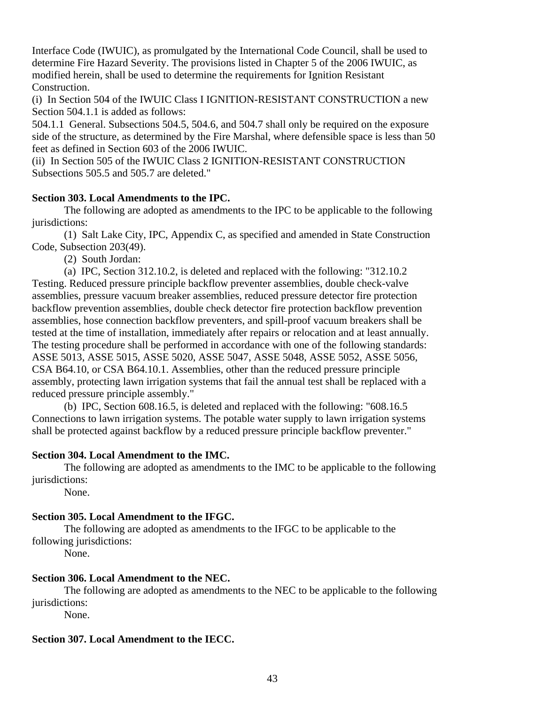Interface Code (IWUIC), as promulgated by the International Code Council, shall be used to determine Fire Hazard Severity. The provisions listed in Chapter 5 of the 2006 IWUIC, as modified herein, shall be used to determine the requirements for Ignition Resistant Construction.

(i) In Section 504 of the IWUIC Class I IGNITION-RESISTANT CONSTRUCTION a new Section 504.1.1 is added as follows:

504.1.1 General. Subsections 504.5, 504.6, and 504.7 shall only be required on the exposure side of the structure, as determined by the Fire Marshal, where defensible space is less than 50 feet as defined in Section 603 of the 2006 IWUIC.

(ii) In Section 505 of the IWUIC Class 2 IGNITION-RESISTANT CONSTRUCTION Subsections 505.5 and 505.7 are deleted."

# **Section 303. Local Amendments to the IPC.**

 The following are adopted as amendments to the IPC to be applicable to the following jurisdictions:

 (1) Salt Lake City, IPC, Appendix C, as specified and amended in State Construction Code, Subsection 203(49).

(2) South Jordan:

 (a) IPC, Section 312.10.2, is deleted and replaced with the following: "312.10.2 Testing. Reduced pressure principle backflow preventer assemblies, double check-valve assemblies, pressure vacuum breaker assemblies, reduced pressure detector fire protection backflow prevention assemblies, double check detector fire protection backflow prevention assemblies, hose connection backflow preventers, and spill-proof vacuum breakers shall be tested at the time of installation, immediately after repairs or relocation and at least annually. The testing procedure shall be performed in accordance with one of the following standards: ASSE 5013, ASSE 5015, ASSE 5020, ASSE 5047, ASSE 5048, ASSE 5052, ASSE 5056, CSA B64.10, or CSA B64.10.1. Assemblies, other than the reduced pressure principle assembly, protecting lawn irrigation systems that fail the annual test shall be replaced with a reduced pressure principle assembly."

 (b) IPC, Section 608.16.5, is deleted and replaced with the following: "608.16.5 Connections to lawn irrigation systems. The potable water supply to lawn irrigation systems shall be protected against backflow by a reduced pressure principle backflow preventer."

# **Section 304. Local Amendment to the IMC.**

 The following are adopted as amendments to the IMC to be applicable to the following jurisdictions:

None.

# **Section 305. Local Amendment to the IFGC.**

 The following are adopted as amendments to the IFGC to be applicable to the following jurisdictions:

None.

# **Section 306. Local Amendment to the NEC.**

 The following are adopted as amendments to the NEC to be applicable to the following jurisdictions:

None.

# **Section 307. Local Amendment to the IECC.**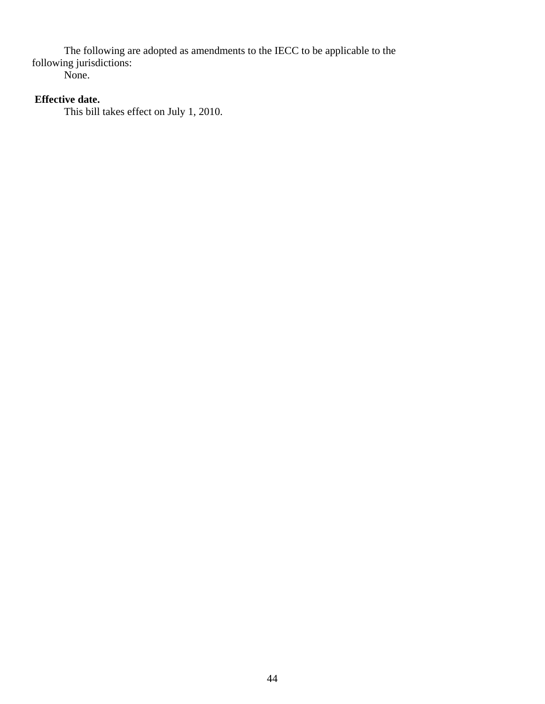The following are adopted as amendments to the IECC to be applicable to the following jurisdictions:

None.

# **Effective date.**

This bill takes effect on July 1, 2010.